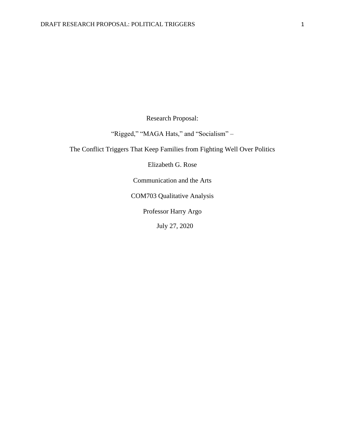Research Proposal:

"Rigged," "MAGA Hats," and "Socialism" -

The Conflict Triggers That Keep Families from Fighting Well Over Politics

Elizabeth G. Rose

Communication and the Arts

COM703 Qualitative Analysis

Professor Harry Argo

July 27, 2020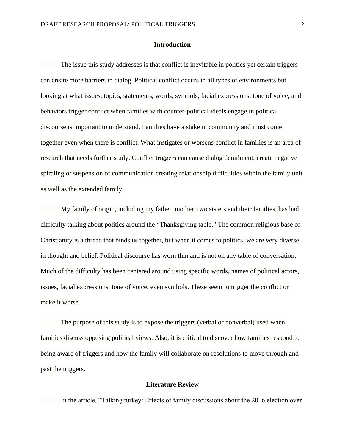#### **Introduction**

The issue this study addresses is that conflict is inevitable in politics yet certain triggers can create more barriers in dialog. Political conflict occurs in all types of environments but looking at what issues, topics, statements, words, symbols, facial expressions, tone of voice, and behaviors trigger conflict when families with counter-political ideals engage in political discourse is important to understand. Families have a stake in community and must come together even when there is conflict. What instigates or worsens conflict in families is an area of research that needs further study. Conflict triggers can cause dialog derailment, create negative spiraling or suspension of communication creating relationship difficulties within the family unit as well as the extended family.

My family of origin, including my father, mother, two sisters and their families, has had difficulty talking about politics around the "Thanksgiving table." The common religious base of Christianity is a thread that binds us together, but when it comes to politics, we are very diverse in thought and belief. Political discourse has worn thin and is not on any table of conversation. Much of the difficulty has been centered around using specific words, names of political actors, issues, facial expressions, tone of voice, even symbols. These seem to trigger the conflict or make it worse.

The purpose of this study is to expose the triggers (verbal or nonverbal) used when families discuss opposing political views. Also, it is critical to discover how families respond to being aware of triggers and how the family will collaborate on resolutions to move through and past the triggers.

## **Literature Review**

In the article, "Talking turkey: Effects of family discussions about the 2016 election over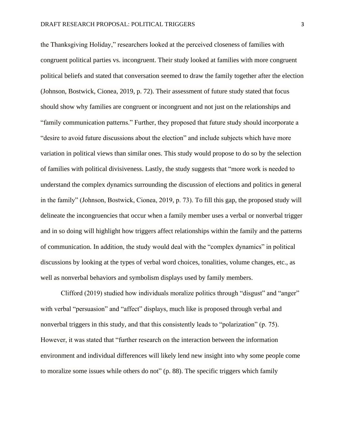the Thanksgiving Holiday," researchers looked at the perceived closeness of families with congruent political parties vs. incongruent. Their study looked at families with more congruent political beliefs and stated that conversation seemed to draw the family together after the election (Johnson, Bostwick, Cionea, 2019, p. 72). Their assessment of future study stated that focus should show why families are congruent or incongruent and not just on the relationships and "family communication patterns." Further, they proposed that future study should incorporate a "desire to avoid future discussions about the election" and include subjects which have more variation in political views than similar ones. This study would propose to do so by the selection of families with political divisiveness. Lastly, the study suggests that "more work is needed to understand the complex dynamics surrounding the discussion of elections and politics in general in the family" (Johnson, Bostwick, Cionea, 2019, p. 73). To fill this gap, the proposed study will delineate the incongruencies that occur when a family member uses a verbal or nonverbal trigger and in so doing will highlight how triggers affect relationships within the family and the patterns of communication. In addition, the study would deal with the "complex dynamics" in political discussions by looking at the types of verbal word choices, tonalities, volume changes, etc., as well as nonverbal behaviors and symbolism displays used by family members.

Clifford (2019) studied how individuals moralize politics through "disgust" and "anger" with verbal "persuasion" and "affect" displays, much like is proposed through verbal and nonverbal triggers in this study, and that this consistently leads to "polarization" (p. 75). However, it was stated that "further research on the interaction between the information environment and individual differences will likely lend new insight into why some people come to moralize some issues while others do not" (p. 88). The specific triggers which family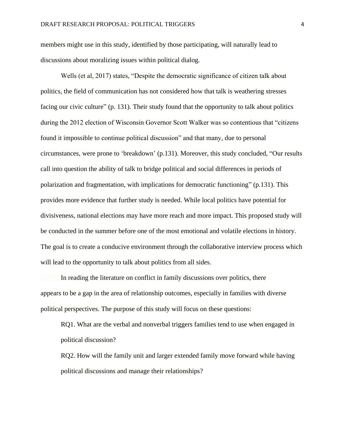members might use in this study, identified by those participating, will naturally lead to discussions about moralizing issues within political dialog.

Wells (et al, 2017) states, "Despite the democratic significance of citizen talk about politics, the field of communication has not considered how that talk is weathering stresses facing our civic culture" (p. 131). Their study found that the opportunity to talk about politics during the 2012 election of Wisconsin Governor Scott Walker was so contentious that "citizens found it impossible to continue political discussion" and that many, due to personal circumstances, were prone to 'breakdown' (p.131). Moreover, this study concluded, "Our results call into question the ability of talk to bridge political and social differences in periods of polarization and fragmentation, with implications for democratic functioning" (p.131). This provides more evidence that further study is needed. While local politics have potential for divisiveness, national elections may have more reach and more impact. This proposed study will be conducted in the summer before one of the most emotional and volatile elections in history. The goal is to create a conducive environment through the collaborative interview process which will lead to the opportunity to talk about politics from all sides.

In reading the literature on conflict in family discussions over politics, there appears to be a gap in the area of relationship outcomes, especially in families with diverse political perspectives. The purpose of this study will focus on these questions:

RQ1. What are the verbal and nonverbal triggers families tend to use when engaged in political discussion?

RQ2. How will the family unit and larger extended family move forward while having political discussions and manage their relationships?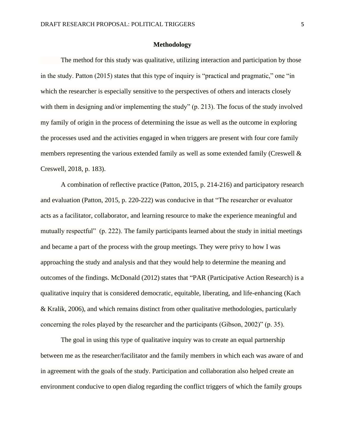#### **Methodology**

The method for this study was qualitative, utilizing interaction and participation by those in the study. Patton (2015) states that this type of inquiry is "practical and pragmatic," one "in which the researcher is especially sensitive to the perspectives of others and interacts closely with them in designing and/or implementing the study" (p. 213). The focus of the study involved my family of origin in the process of determining the issue as well as the outcome in exploring the processes used and the activities engaged in when triggers are present with four core family members representing the various extended family as well as some extended family (Creswell & Creswell, 2018, p. 183).

A combination of reflective practice (Patton, 2015, p. 214-216) and participatory research and evaluation (Patton, 2015, p. 220-222) was conducive in that "The researcher or evaluator acts as a facilitator, collaborator, and learning resource to make the experience meaningful and mutually respectful" (p. 222). The family participants learned about the study in initial meetings and became a part of the process with the group meetings. They were privy to how I was approaching the study and analysis and that they would help to determine the meaning and outcomes of the findings. McDonald (2012) states that "PAR (Participative Action Research) is a qualitative inquiry that is considered democratic, equitable, liberating, and life-enhancing (Kach & Kralik, 2006), and which remains distinct from other qualitative methodologies, particularly concerning the roles played by the researcher and the participants (Gibson, 2002)" (p. 35).

The goal in using this type of qualitative inquiry was to create an equal partnership between me as the researcher/facilitator and the family members in which each was aware of and in agreement with the goals of the study. Participation and collaboration also helped create an environment conducive to open dialog regarding the conflict triggers of which the family groups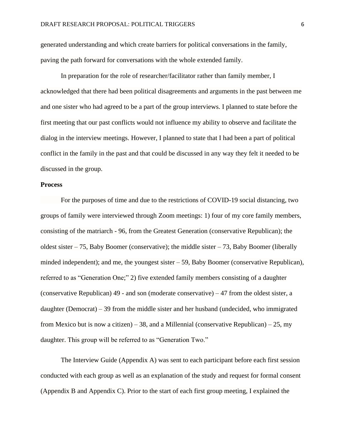generated understanding and which create barriers for political conversations in the family, paving the path forward for conversations with the whole extended family.

In preparation for the role of researcher/facilitator rather than family member, I acknowledged that there had been political disagreements and arguments in the past between me and one sister who had agreed to be a part of the group interviews. I planned to state before the first meeting that our past conflicts would not influence my ability to observe and facilitate the dialog in the interview meetings. However, I planned to state that I had been a part of political conflict in the family in the past and that could be discussed in any way they felt it needed to be discussed in the group.

#### **Process**

For the purposes of time and due to the restrictions of COVID-19 social distancing, two groups of family were interviewed through Zoom meetings: 1) four of my core family members, consisting of the matriarch - 96, from the Greatest Generation (conservative Republican); the oldest sister  $-75$ , Baby Boomer (conservative); the middle sister  $-73$ , Baby Boomer (liberally minded independent); and me, the youngest sister – 59, Baby Boomer (conservative Republican), referred to as "Generation One;" 2) five extended family members consisting of a daughter (conservative Republican) 49 - and son (moderate conservative) – 47 from the oldest sister, a daughter (Democrat) – 39 from the middle sister and her husband (undecided, who immigrated from Mexico but is now a citizen) – 38, and a Millennial (conservative Republican) – 25, my daughter. This group will be referred to as "Generation Two."

The Interview Guide (Appendix A) was sent to each participant before each first session conducted with each group as well as an explanation of the study and request for formal consent (Appendix B and Appendix C). Prior to the start of each first group meeting, I explained the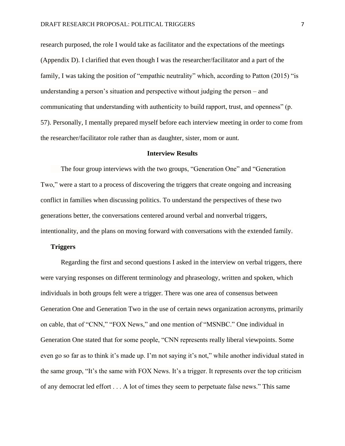research purposed, the role I would take as facilitator and the expectations of the meetings (Appendix D). I clarified that even though I was the researcher/facilitator and a part of the family, I was taking the position of "empathic neutrality" which, according to Patton (2015) "is understanding a person's situation and perspective without judging the person – and communicating that understanding with authenticity to build rapport, trust, and openness" (p. 57). Personally, I mentally prepared myself before each interview meeting in order to come from the researcher/facilitator role rather than as daughter, sister, mom or aunt.

#### **Interview Results**

The four group interviews with the two groups, "Generation One" and "Generation Two," were a start to a process of discovering the triggers that create ongoing and increasing conflict in families when discussing politics. To understand the perspectives of these two generations better, the conversations centered around verbal and nonverbal triggers, intentionality, and the plans on moving forward with conversations with the extended family.

#### **Triggers**

Regarding the first and second questions I asked in the interview on verbal triggers, there were varying responses on different terminology and phraseology, written and spoken, which individuals in both groups felt were a trigger. There was one area of consensus between Generation One and Generation Two in the use of certain news organization acronyms, primarily on cable, that of "CNN," "FOX News," and one mention of "MSNBC." One individual in Generation One stated that for some people, "CNN represents really liberal viewpoints. Some even go so far as to think it's made up. I'm not saying it's not," while another individual stated in the same group, "It's the same with FOX News. It's a trigger. It represents over the top criticism of any democrat led effort . . . A lot of times they seem to perpetuate false news." This same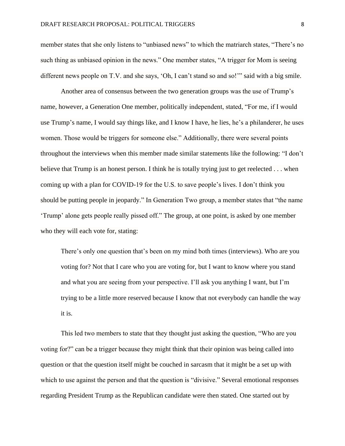member states that she only listens to "unbiased news" to which the matriarch states, "There's no such thing as unbiased opinion in the news." One member states, "A trigger for Mom is seeing different news people on T.V. and she says, 'Oh, I can't stand so and so!'" said with a big smile.

Another area of consensus between the two generation groups was the use of Trump's name, however, a Generation One member, politically independent, stated, "For me, if I would use Trump's name, I would say things like, and I know I have, he lies, he's a philanderer, he uses women. Those would be triggers for someone else." Additionally, there were several points throughout the interviews when this member made similar statements like the following: "I don't believe that Trump is an honest person. I think he is totally trying just to get reelected . . . when coming up with a plan for COVID-19 for the U.S. to save people's lives. I don't think you should be putting people in jeopardy." In Generation Two group, a member states that "the name 'Trump' alone gets people really pissed off." The group, at one point, is asked by one member who they will each vote for, stating:

There's only one question that's been on my mind both times (interviews). Who are you voting for? Not that I care who you are voting for, but I want to know where you stand and what you are seeing from your perspective. I'll ask you anything I want, but I'm trying to be a little more reserved because I know that not everybody can handle the way it is.

This led two members to state that they thought just asking the question, "Who are you voting for?" can be a trigger because they might think that their opinion was being called into question or that the question itself might be couched in sarcasm that it might be a set up with which to use against the person and that the question is "divisive." Several emotional responses regarding President Trump as the Republican candidate were then stated. One started out by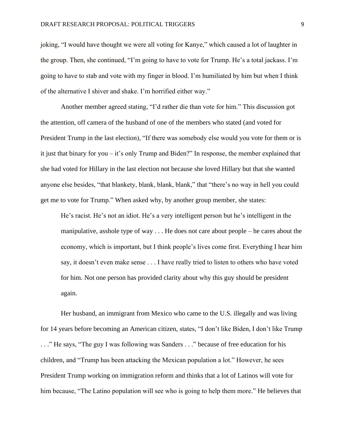joking, "I would have thought we were all voting for Kanye," which caused a lot of laughter in the group. Then, she continued, "I'm going to have to vote for Trump. He's a total jackass. I'm going to have to stab and vote with my finger in blood. I'm humiliated by him but when I think of the alternative I shiver and shake. I'm horrified either way."

Another member agreed stating, "I'd rather die than vote for him." This discussion got the attention, off camera of the husband of one of the members who stated (and voted for President Trump in the last election), "If there was somebody else would you vote for them or is it just that binary for you – it's only Trump and Biden?" In response, the member explained that she had voted for Hillary in the last election not because she loved Hillary but that she wanted anyone else besides, "that blankety, blank, blank, blank," that "there's no way in hell you could get me to vote for Trump." When asked why, by another group member, she states:

He's racist. He's not an idiot. He's a very intelligent person but he's intelligent in the manipulative, asshole type of way . . . He does not care about people – he cares about the economy, which is important, but I think people's lives come first. Everything I hear him say, it doesn't even make sense . . . I have really tried to listen to others who have voted for him. Not one person has provided clarity about why this guy should be president again.

Her husband, an immigrant from Mexico who came to the U.S. illegally and was living for 14 years before becoming an American citizen, states, "I don't like Biden, I don't like Trump . . ." He says, "The guy I was following was Sanders . . ." because of free education for his children, and "Trump has been attacking the Mexican population a lot." However, he sees President Trump working on immigration reform and thinks that a lot of Latinos will vote for him because, "The Latino population will see who is going to help them more." He believes that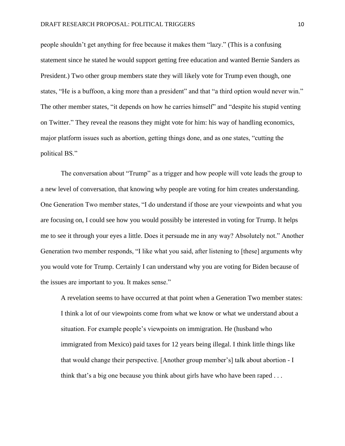people shouldn't get anything for free because it makes them "lazy." (This is a confusing statement since he stated he would support getting free education and wanted Bernie Sanders as President.) Two other group members state they will likely vote for Trump even though, one states, "He is a buffoon, a king more than a president" and that "a third option would never win." The other member states, "it depends on how he carries himself" and "despite his stupid venting on Twitter." They reveal the reasons they might vote for him: his way of handling economics, major platform issues such as abortion, getting things done, and as one states, "cutting the political BS."

The conversation about "Trump" as a trigger and how people will vote leads the group to a new level of conversation, that knowing why people are voting for him creates understanding. One Generation Two member states, "I do understand if those are your viewpoints and what you are focusing on, I could see how you would possibly be interested in voting for Trump. It helps me to see it through your eyes a little. Does it persuade me in any way? Absolutely not." Another Generation two member responds, "I like what you said, after listening to [these] arguments why you would vote for Trump. Certainly I can understand why you are voting for Biden because of the issues are important to you. It makes sense."

A revelation seems to have occurred at that point when a Generation Two member states: I think a lot of our viewpoints come from what we know or what we understand about a situation. For example people's viewpoints on immigration. He (husband who immigrated from Mexico) paid taxes for 12 years being illegal. I think little things like that would change their perspective. [Another group member's] talk about abortion - I think that's a big one because you think about girls have who have been raped . . .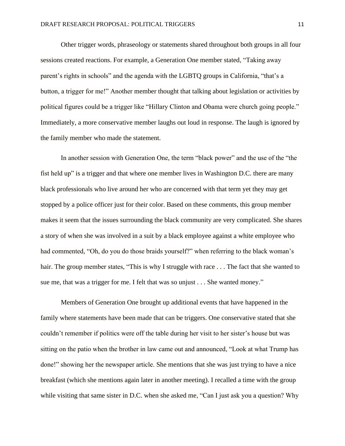Other trigger words, phraseology or statements shared throughout both groups in all four sessions created reactions. For example, a Generation One member stated, "Taking away parent's rights in schools" and the agenda with the LGBTQ groups in California, "that's a button, a trigger for me!" Another member thought that talking about legislation or activities by political figures could be a trigger like "Hillary Clinton and Obama were church going people." Immediately, a more conservative member laughs out loud in response. The laugh is ignored by the family member who made the statement.

In another session with Generation One, the term "black power" and the use of the "the fist held up" is a trigger and that where one member lives in Washington D.C. there are many black professionals who live around her who are concerned with that term yet they may get stopped by a police officer just for their color. Based on these comments, this group member makes it seem that the issues surrounding the black community are very complicated. She shares a story of when she was involved in a suit by a black employee against a white employee who had commented, "Oh, do you do those braids yourself?" when referring to the black woman's hair. The group member states, "This is why I struggle with race . . . The fact that she wanted to sue me, that was a trigger for me. I felt that was so unjust . . . She wanted money."

Members of Generation One brought up additional events that have happened in the family where statements have been made that can be triggers. One conservative stated that she couldn't remember if politics were off the table during her visit to her sister's house but was sitting on the patio when the brother in law came out and announced, "Look at what Trump has done!" showing her the newspaper article. She mentions that she was just trying to have a nice breakfast (which she mentions again later in another meeting). I recalled a time with the group while visiting that same sister in D.C. when she asked me, "Can I just ask you a question? Why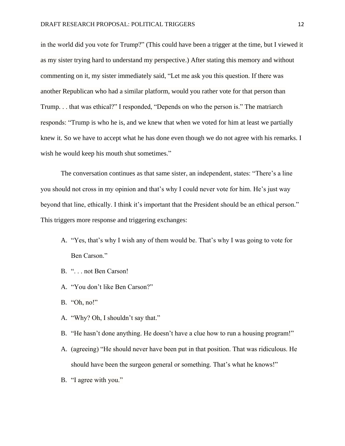in the world did you vote for Trump?" (This could have been a trigger at the time, but I viewed it as my sister trying hard to understand my perspective.) After stating this memory and without commenting on it, my sister immediately said, "Let me ask you this question. If there was another Republican who had a similar platform, would you rather vote for that person than Trump. . . that was ethical?" I responded, "Depends on who the person is." The matriarch responds: "Trump is who he is, and we knew that when we voted for him at least we partially knew it. So we have to accept what he has done even though we do not agree with his remarks. I wish he would keep his mouth shut sometimes."

The conversation continues as that same sister, an independent, states: "There's a line you should not cross in my opinion and that's why I could never vote for him. He's just way beyond that line, ethically. I think it's important that the President should be an ethical person." This triggers more response and triggering exchanges:

- A. "Yes, that's why I wish any of them would be. That's why I was going to vote for Ben Carson."
- B. ". . . not Ben Carson!
- A. "You don't like Ben Carson?"
- B. "Oh, no!"
- A. "Why? Oh, I shouldn't say that."
- B. "He hasn't done anything. He doesn't have a clue how to run a housing program!"
- A. (agreeing) "He should never have been put in that position. That was ridiculous. He should have been the surgeon general or something. That's what he knows!"
- B. "I agree with you."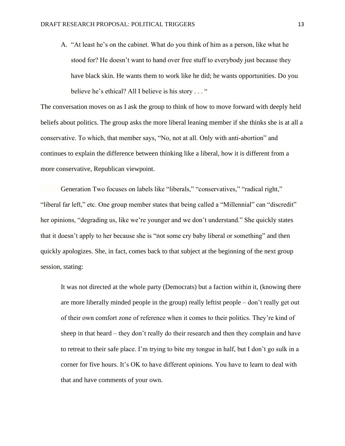A. "At least he's on the cabinet. What do you think of him as a person, like what he stood for? He doesn't want to hand over free stuff to everybody just because they have black skin. He wants them to work like he did; he wants opportunities. Do you believe he's ethical? All I believe is his story . . . "

The conversation moves on as I ask the group to think of how to move forward with deeply held beliefs about politics. The group asks the more liberal leaning member if she thinks she is at all a conservative. To which, that member says, "No, not at all. Only with anti-abortion" and continues to explain the difference between thinking like a liberal, how it is different from a more conservative, Republican viewpoint.

Generation Two focuses on labels like "liberals," "conservatives," "radical right," "liberal far left," etc. One group member states that being called a "Millennial" can "discredit" her opinions, "degrading us, like we're younger and we don't understand." She quickly states that it doesn't apply to her because she is "not some cry baby liberal or something" and then quickly apologizes. She, in fact, comes back to that subject at the beginning of the next group session, stating:

It was not directed at the whole party (Democrats) but a faction within it, (knowing there are more liberally minded people in the group) really leftist people – don't really get out of their own comfort zone of reference when it comes to their politics. They're kind of sheep in that heard – they don't really do their research and then they complain and have to retreat to their safe place. I'm trying to bite my tongue in half, but I don't go sulk in a corner for five hours. It's OK to have different opinions. You have to learn to deal with that and have comments of your own.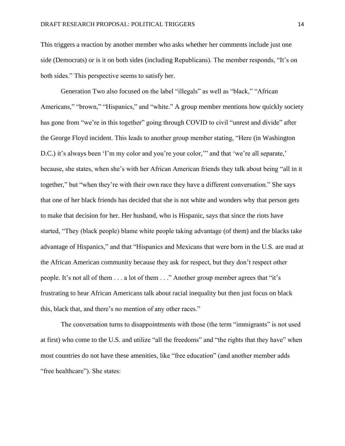This triggers a reaction by another member who asks whether her comments include just one side (Democrats) or is it on both sides (including Republicans). The member responds, "It's on both sides." This perspective seems to satisfy her.

Generation Two also focused on the label "illegals" as well as "black," "African Americans," "brown," "Hispanics," and "white." A group member mentions how quickly society has gone from "we're in this together" going through COVID to civil "unrest and divide" after the George Floyd incident. This leads to another group member stating, "Here (in Washington D.C.) it's always been 'I'm my color and you're your color," and that 'we're all separate,' because, she states, when she's with her African American friends they talk about being "all in it together," but "when they're with their own race they have a different conversation." She says that one of her black friends has decided that she is not white and wonders why that person gets to make that decision for her. Her husband, who is Hispanic, says that since the riots have started, "They (black people) blame white people taking advantage (of them) and the blacks take advantage of Hispanics," and that "Hispanics and Mexicans that were born in the U.S. are mad at the African American community because they ask for respect, but they don't respect other people. It's not all of them . . . a lot of them . . ." Another group member agrees that "it's frustrating to hear African Americans talk about racial inequality but then just focus on black this, black that, and there's no mention of any other races."

The conversation turns to disappointments with those (the term "immigrants" is not used at first) who come to the U.S. and utilize "all the freedoms" and "the rights that they have" when most countries do not have these amenities, like "free education" (and another member adds "free healthcare"). She states: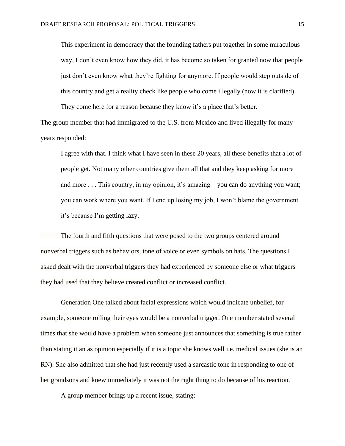This experiment in democracy that the founding fathers put together in some miraculous way, I don't even know how they did, it has become so taken for granted now that people just don't even know what they're fighting for anymore. If people would step outside of this country and get a reality check like people who come illegally (now it is clarified). They come here for a reason because they know it's a place that's better.

The group member that had immigrated to the U.S. from Mexico and lived illegally for many years responded:

I agree with that. I think what I have seen in these 20 years, all these benefits that a lot of people get. Not many other countries give them all that and they keep asking for more and more . . . This country, in my opinion, it's amazing – you can do anything you want; you can work where you want. If I end up losing my job, I won't blame the government it's because I'm getting lazy.

The fourth and fifth questions that were posed to the two groups centered around nonverbal triggers such as behaviors, tone of voice or even symbols on hats. The questions I asked dealt with the nonverbal triggers they had experienced by someone else or what triggers they had used that they believe created conflict or increased conflict.

Generation One talked about facial expressions which would indicate unbelief, for example, someone rolling their eyes would be a nonverbal trigger. One member stated several times that she would have a problem when someone just announces that something is true rather than stating it an as opinion especially if it is a topic she knows well i.e. medical issues (she is an RN). She also admitted that she had just recently used a sarcastic tone in responding to one of her grandsons and knew immediately it was not the right thing to do because of his reaction.

A group member brings up a recent issue, stating: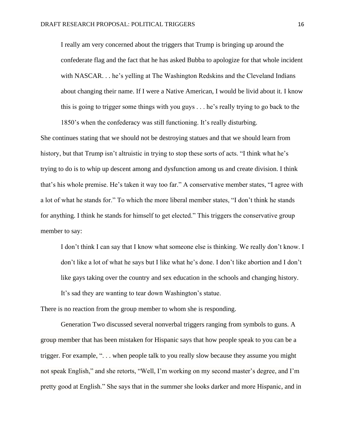I really am very concerned about the triggers that Trump is bringing up around the confederate flag and the fact that he has asked Bubba to apologize for that whole incident with NASCAR. . . he's yelling at The Washington Redskins and the Cleveland Indians about changing their name. If I were a Native American, I would be livid about it. I know this is going to trigger some things with you guys . . . he's really trying to go back to the 1850's when the confederacy was still functioning. It's really disturbing.

She continues stating that we should not be destroying statues and that we should learn from history, but that Trump isn't altruistic in trying to stop these sorts of acts. "I think what he's trying to do is to whip up descent among and dysfunction among us and create division. I think that's his whole premise. He's taken it way too far." A conservative member states, "I agree with a lot of what he stands for." To which the more liberal member states, "I don't think he stands for anything. I think he stands for himself to get elected." This triggers the conservative group member to say:

I don't think I can say that I know what someone else is thinking. We really don't know. I don't like a lot of what he says but I like what he's done. I don't like abortion and I don't like gays taking over the country and sex education in the schools and changing history. It's sad they are wanting to tear down Washington's statue.

There is no reaction from the group member to whom she is responding.

Generation Two discussed several nonverbal triggers ranging from symbols to guns. A group member that has been mistaken for Hispanic says that how people speak to you can be a trigger. For example, ". . . when people talk to you really slow because they assume you might not speak English," and she retorts, "Well, I'm working on my second master's degree, and I'm pretty good at English." She says that in the summer she looks darker and more Hispanic, and in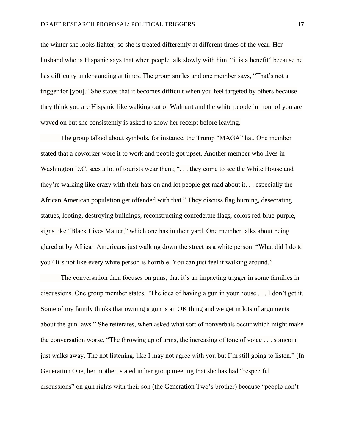the winter she looks lighter, so she is treated differently at different times of the year. Her husband who is Hispanic says that when people talk slowly with him, "it is a benefit" because he has difficulty understanding at times. The group smiles and one member says, "That's not a trigger for [you]." She states that it becomes difficult when you feel targeted by others because they think you are Hispanic like walking out of Walmart and the white people in front of you are waved on but she consistently is asked to show her receipt before leaving.

The group talked about symbols, for instance, the Trump "MAGA" hat. One member stated that a coworker wore it to work and people got upset. Another member who lives in Washington D.C. sees a lot of tourists wear them; "... they come to see the White House and they're walking like crazy with their hats on and lot people get mad about it. . . especially the African American population get offended with that." They discuss flag burning, desecrating statues, looting, destroying buildings, reconstructing confederate flags, colors red-blue-purple, signs like "Black Lives Matter," which one has in their yard. One member talks about being glared at by African Americans just walking down the street as a white person. "What did I do to you? It's not like every white person is horrible. You can just feel it walking around."

The conversation then focuses on guns, that it's an impacting trigger in some families in discussions. One group member states, "The idea of having a gun in your house . . . I don't get it. Some of my family thinks that owning a gun is an OK thing and we get in lots of arguments about the gun laws." She reiterates, when asked what sort of nonverbals occur which might make the conversation worse, "The throwing up of arms, the increasing of tone of voice . . . someone just walks away. The not listening, like I may not agree with you but I'm still going to listen." (In Generation One, her mother, stated in her group meeting that she has had "respectful discussions" on gun rights with their son (the Generation Two's brother) because "people don't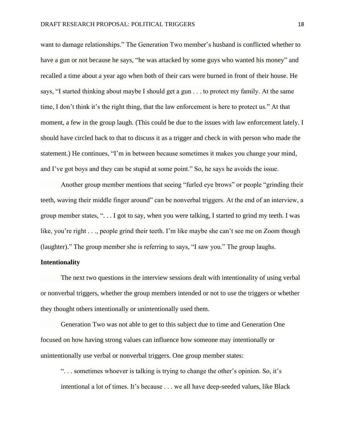want to damage relationships." The Generation Two member's husband is conflicted whether to have a gun or not because he says, "he was attacked by some guys who wanted his money" and recalled a time about a year ago when both of their cars were burned in front of their house. He says, "I started thinking about maybe I should get a gun . . . to protect my family. At the same time, I don't think it's the right thing, that the law enforcement is here to protect us." At that moment, a few in the group laugh. (This could be due to the issues with law enforcement lately. I should have circled back to that to discuss it as a trigger and check in with person who made the statement.) He continues, "I'm in between because sometimes it makes you change your mind, and I've got boys and they can be stupid at some point." So, he says he avoids the issue.

Another group member mentions that seeing "furled eye brows" or people "grinding their teeth, waving their middle finger around" can be nonverbal triggers. At the end of an interview, a group member states, ". . . I got to say, when you were talking, I started to grind my teeth. I was like, you're right . . ., people grind their teeth. I'm like maybe she can't see me on Zoom though (laughter)." The group member she is referring to says, "I saw you." The group laughs.

#### **Intentionality**

The next two questions in the interview sessions dealt with intentionality of using verbal or nonverbal triggers, whether the group members intended or not to use the triggers or whether they thought others intentionally or unintentionally used them.

Generation Two was not able to get to this subject due to time and Generation One focused on how having strong values can influence how someone may intentionally or unintentionally use verbal or nonverbal triggers. One group member states:

". . . sometimes whoever is talking is trying to change the other's opinion. So, it's intentional a lot of times. It's because . . . we all have deep-seeded values, like Black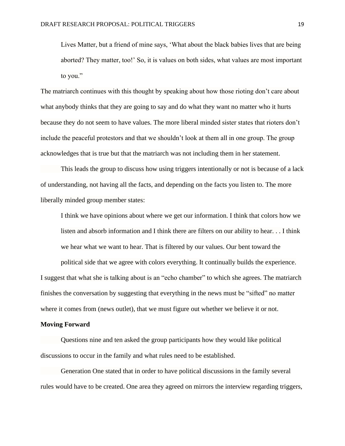Lives Matter, but a friend of mine says, 'What about the black babies lives that are being aborted? They matter, too!' So, it is values on both sides, what values are most important to you."

The matriarch continues with this thought by speaking about how those rioting don't care about what anybody thinks that they are going to say and do what they want no matter who it hurts because they do not seem to have values. The more liberal minded sister states that rioters don't include the peaceful protestors and that we shouldn't look at them all in one group. The group acknowledges that is true but that the matriarch was not including them in her statement.

This leads the group to discuss how using triggers intentionally or not is because of a lack of understanding, not having all the facts, and depending on the facts you listen to. The more liberally minded group member states:

I think we have opinions about where we get our information. I think that colors how we listen and absorb information and I think there are filters on our ability to hear. . . I think we hear what we want to hear. That is filtered by our values. Our bent toward the

political side that we agree with colors everything. It continually builds the experience. I suggest that what she is talking about is an "echo chamber" to which she agrees. The matriarch finishes the conversation by suggesting that everything in the news must be "sifted" no matter where it comes from (news outlet), that we must figure out whether we believe it or not.

#### **Moving Forward**

Questions nine and ten asked the group participants how they would like political discussions to occur in the family and what rules need to be established.

Generation One stated that in order to have political discussions in the family several rules would have to be created. One area they agreed on mirrors the interview regarding triggers,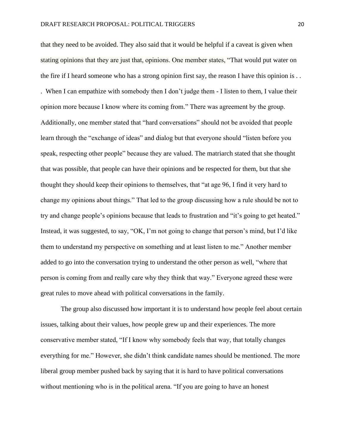that they need to be avoided. They also said that it would be helpful if a caveat is given when stating opinions that they are just that, opinions. One member states, "That would put water on the fire if I heard someone who has a strong opinion first say, the reason I have this opinion is . . . When I can empathize with somebody then I don't judge them - I listen to them, I value their opinion more because I know where its coming from." There was agreement by the group. Additionally, one member stated that "hard conversations" should not be avoided that people learn through the "exchange of ideas" and dialog but that everyone should "listen before you speak, respecting other people" because they are valued. The matriarch stated that she thought that was possible, that people can have their opinions and be respected for them, but that she thought they should keep their opinions to themselves, that "at age 96, I find it very hard to change my opinions about things." That led to the group discussing how a rule should be not to try and change people's opinions because that leads to frustration and "it's going to get heated." Instead, it was suggested, to say, "OK, I'm not going to change that person's mind, but I'd like them to understand my perspective on something and at least listen to me." Another member added to go into the conversation trying to understand the other person as well, "where that person is coming from and really care why they think that way." Everyone agreed these were great rules to move ahead with political conversations in the family.

The group also discussed how important it is to understand how people feel about certain issues, talking about their values, how people grew up and their experiences. The more conservative member stated, "If I know why somebody feels that way, that totally changes everything for me." However, she didn't think candidate names should be mentioned. The more liberal group member pushed back by saying that it is hard to have political conversations without mentioning who is in the political arena. "If you are going to have an honest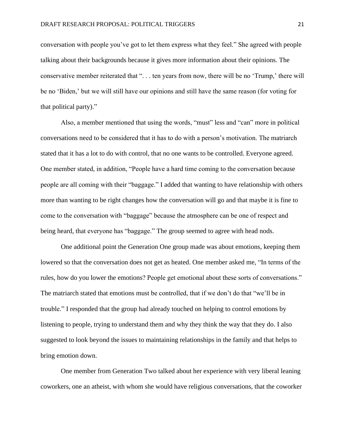conversation with people you've got to let them express what they feel." She agreed with people talking about their backgrounds because it gives more information about their opinions. The conservative member reiterated that ". . . ten years from now, there will be no 'Trump,' there will be no 'Biden,' but we will still have our opinions and still have the same reason (for voting for that political party)."

Also, a member mentioned that using the words, "must" less and "can" more in political conversations need to be considered that it has to do with a person's motivation. The matriarch stated that it has a lot to do with control, that no one wants to be controlled. Everyone agreed. One member stated, in addition, "People have a hard time coming to the conversation because people are all coming with their "baggage." I added that wanting to have relationship with others more than wanting to be right changes how the conversation will go and that maybe it is fine to come to the conversation with "baggage" because the atmosphere can be one of respect and being heard, that everyone has "baggage." The group seemed to agree with head nods.

One additional point the Generation One group made was about emotions, keeping them lowered so that the conversation does not get as heated. One member asked me, "In terms of the rules, how do you lower the emotions? People get emotional about these sorts of conversations." The matriarch stated that emotions must be controlled, that if we don't do that "we'll be in trouble." I responded that the group had already touched on helping to control emotions by listening to people, trying to understand them and why they think the way that they do. I also suggested to look beyond the issues to maintaining relationships in the family and that helps to bring emotion down.

One member from Generation Two talked about her experience with very liberal leaning coworkers, one an atheist, with whom she would have religious conversations, that the coworker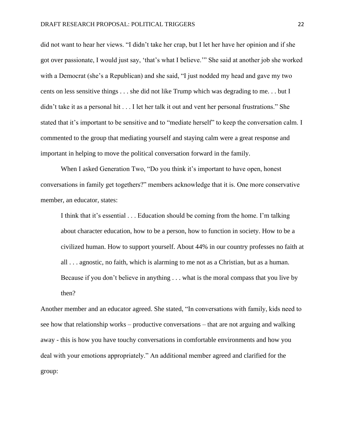did not want to hear her views. "I didn't take her crap, but I let her have her opinion and if she got over passionate, I would just say, 'that's what I believe.'" She said at another job she worked with a Democrat (she's a Republican) and she said, "I just nodded my head and gave my two cents on less sensitive things . . . she did not like Trump which was degrading to me. . . but I didn't take it as a personal hit . . . I let her talk it out and vent her personal frustrations." She stated that it's important to be sensitive and to "mediate herself" to keep the conversation calm. I commented to the group that mediating yourself and staying calm were a great response and important in helping to move the political conversation forward in the family.

When I asked Generation Two, "Do you think it's important to have open, honest conversations in family get togethers?" members acknowledge that it is. One more conservative member, an educator, states:

I think that it's essential . . . Education should be coming from the home. I'm talking about character education, how to be a person, how to function in society. How to be a civilized human. How to support yourself. About 44% in our country professes no faith at all . . . agnostic, no faith, which is alarming to me not as a Christian, but as a human. Because if you don't believe in anything . . . what is the moral compass that you live by then?

Another member and an educator agreed. She stated, "In conversations with family, kids need to see how that relationship works – productive conversations – that are not arguing and walking away - this is how you have touchy conversations in comfortable environments and how you deal with your emotions appropriately." An additional member agreed and clarified for the group: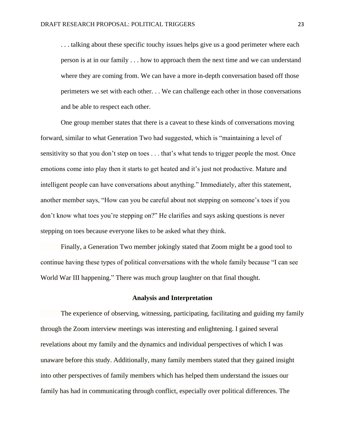... talking about these specific touchy issues helps give us a good perimeter where each person is at in our family . . . how to approach them the next time and we can understand where they are coming from. We can have a more in-depth conversation based off those perimeters we set with each other. . . We can challenge each other in those conversations and be able to respect each other.

One group member states that there is a caveat to these kinds of conversations moving forward, similar to what Generation Two had suggested, which is "maintaining a level of sensitivity so that you don't step on toes . . . that's what tends to trigger people the most. Once emotions come into play then it starts to get heated and it's just not productive. Mature and intelligent people can have conversations about anything." Immediately, after this statement, another member says, "How can you be careful about not stepping on someone's toes if you don't know what toes you're stepping on?" He clarifies and says asking questions is never stepping on toes because everyone likes to be asked what they think.

Finally, a Generation Two member jokingly stated that Zoom might be a good tool to continue having these types of political conversations with the whole family because "I can see World War III happening." There was much group laughter on that final thought.

#### **Analysis and Interpretation**

The experience of observing, witnessing, participating, facilitating and guiding my family through the Zoom interview meetings was interesting and enlightening. I gained several revelations about my family and the dynamics and individual perspectives of which I was unaware before this study. Additionally, many family members stated that they gained insight into other perspectives of family members which has helped them understand the issues our family has had in communicating through conflict, especially over political differences. The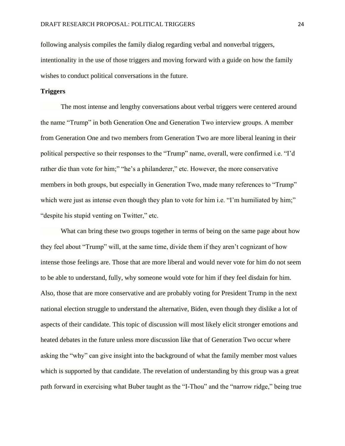following analysis compiles the family dialog regarding verbal and nonverbal triggers, intentionality in the use of those triggers and moving forward with a guide on how the family wishes to conduct political conversations in the future.

### **Triggers**

The most intense and lengthy conversations about verbal triggers were centered around the name "Trump" in both Generation One and Generation Two interview groups. A member from Generation One and two members from Generation Two are more liberal leaning in their political perspective so their responses to the "Trump" name, overall, were confirmed i.e. "I'd rather die than vote for him;" "he's a philanderer," etc. However, the more conservative members in both groups, but especially in Generation Two, made many references to "Trump" which were just as intense even though they plan to vote for him i.e. "I'm humiliated by him;" "despite his stupid venting on Twitter," etc.

What can bring these two groups together in terms of being on the same page about how they feel about "Trump" will, at the same time, divide them if they aren't cognizant of how intense those feelings are. Those that are more liberal and would never vote for him do not seem to be able to understand, fully, why someone would vote for him if they feel disdain for him. Also, those that are more conservative and are probably voting for President Trump in the next national election struggle to understand the alternative, Biden, even though they dislike a lot of aspects of their candidate. This topic of discussion will most likely elicit stronger emotions and heated debates in the future unless more discussion like that of Generation Two occur where asking the "why" can give insight into the background of what the family member most values which is supported by that candidate. The revelation of understanding by this group was a great path forward in exercising what Buber taught as the "I-Thou" and the "narrow ridge," being true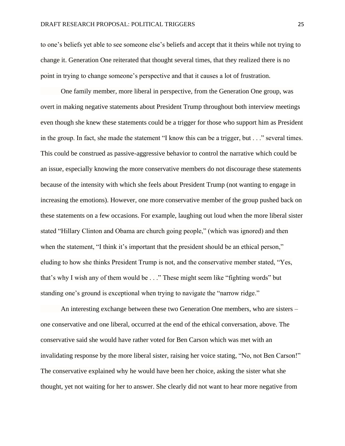to one's beliefs yet able to see someone else's beliefs and accept that it theirs while not trying to change it. Generation One reiterated that thought several times, that they realized there is no point in trying to change someone's perspective and that it causes a lot of frustration.

One family member, more liberal in perspective, from the Generation One group, was overt in making negative statements about President Trump throughout both interview meetings even though she knew these statements could be a trigger for those who support him as President in the group. In fact, she made the statement "I know this can be a trigger, but . . ." several times. This could be construed as passive-aggressive behavior to control the narrative which could be an issue, especially knowing the more conservative members do not discourage these statements because of the intensity with which she feels about President Trump (not wanting to engage in increasing the emotions). However, one more conservative member of the group pushed back on these statements on a few occasions. For example, laughing out loud when the more liberal sister stated "Hillary Clinton and Obama are church going people," (which was ignored) and then when the statement, "I think it's important that the president should be an ethical person," eluding to how she thinks President Trump is not, and the conservative member stated, "Yes, that's why I wish any of them would be . . ." These might seem like "fighting words" but standing one's ground is exceptional when trying to navigate the "narrow ridge."

An interesting exchange between these two Generation One members, who are sisters – one conservative and one liberal, occurred at the end of the ethical conversation, above. The conservative said she would have rather voted for Ben Carson which was met with an invalidating response by the more liberal sister, raising her voice stating, "No, not Ben Carson!" The conservative explained why he would have been her choice, asking the sister what she thought, yet not waiting for her to answer. She clearly did not want to hear more negative from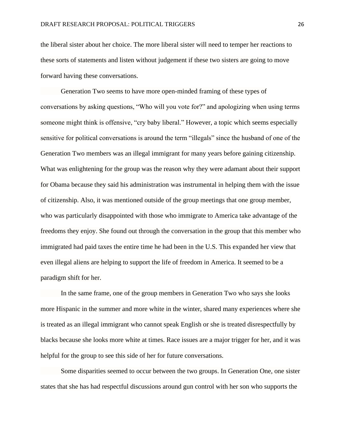the liberal sister about her choice. The more liberal sister will need to temper her reactions to these sorts of statements and listen without judgement if these two sisters are going to move forward having these conversations.

Generation Two seems to have more open-minded framing of these types of conversations by asking questions, "Who will you vote for?" and apologizing when using terms someone might think is offensive, "cry baby liberal." However, a topic which seems especially sensitive for political conversations is around the term "illegals" since the husband of one of the Generation Two members was an illegal immigrant for many years before gaining citizenship. What was enlightening for the group was the reason why they were adamant about their support for Obama because they said his administration was instrumental in helping them with the issue of citizenship. Also, it was mentioned outside of the group meetings that one group member, who was particularly disappointed with those who immigrate to America take advantage of the freedoms they enjoy. She found out through the conversation in the group that this member who immigrated had paid taxes the entire time he had been in the U.S. This expanded her view that even illegal aliens are helping to support the life of freedom in America. It seemed to be a paradigm shift for her.

In the same frame, one of the group members in Generation Two who says she looks more Hispanic in the summer and more white in the winter, shared many experiences where she is treated as an illegal immigrant who cannot speak English or she is treated disrespectfully by blacks because she looks more white at times. Race issues are a major trigger for her, and it was helpful for the group to see this side of her for future conversations.

Some disparities seemed to occur between the two groups. In Generation One, one sister states that she has had respectful discussions around gun control with her son who supports the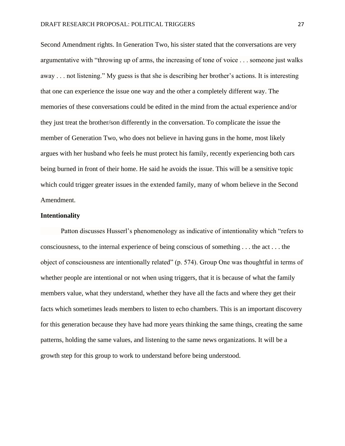Second Amendment rights. In Generation Two, his sister stated that the conversations are very argumentative with "throwing up of arms, the increasing of tone of voice . . . someone just walks away . . . not listening." My guess is that she is describing her brother's actions. It is interesting that one can experience the issue one way and the other a completely different way. The memories of these conversations could be edited in the mind from the actual experience and/or they just treat the brother/son differently in the conversation. To complicate the issue the member of Generation Two, who does not believe in having guns in the home, most likely argues with her husband who feels he must protect his family, recently experiencing both cars being burned in front of their home. He said he avoids the issue. This will be a sensitive topic which could trigger greater issues in the extended family, many of whom believe in the Second Amendment.

### **Intentionality**

Patton discusses Husserl's phenomenology as indicative of intentionality which "refers to consciousness, to the internal experience of being conscious of something . . . the act . . . the object of consciousness are intentionally related" (p. 574). Group One was thoughtful in terms of whether people are intentional or not when using triggers, that it is because of what the family members value, what they understand, whether they have all the facts and where they get their facts which sometimes leads members to listen to echo chambers. This is an important discovery for this generation because they have had more years thinking the same things, creating the same patterns, holding the same values, and listening to the same news organizations. It will be a growth step for this group to work to understand before being understood.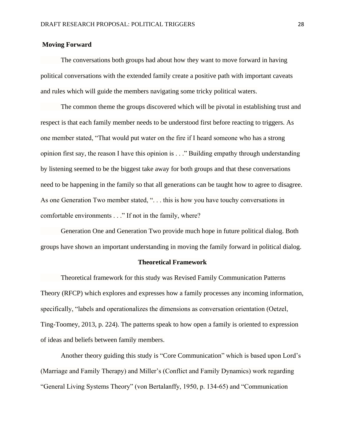### **Moving Forward**

The conversations both groups had about how they want to move forward in having political conversations with the extended family create a positive path with important caveats and rules which will guide the members navigating some tricky political waters.

The common theme the groups discovered which will be pivotal in establishing trust and respect is that each family member needs to be understood first before reacting to triggers. As one member stated, "That would put water on the fire if I heard someone who has a strong opinion first say, the reason I have this opinion is . . ." Building empathy through understanding by listening seemed to be the biggest take away for both groups and that these conversations need to be happening in the family so that all generations can be taught how to agree to disagree. As one Generation Two member stated, "... this is how you have touchy conversations in comfortable environments . . ." If not in the family, where?

Generation One and Generation Two provide much hope in future political dialog. Both groups have shown an important understanding in moving the family forward in political dialog.

#### **Theoretical Framework**

Theoretical framework for this study was Revised Family Communication Patterns Theory (RFCP) which explores and expresses how a family processes any incoming information, specifically, "labels and operationalizes the dimensions as conversation orientation (Oetzel, Ting-Toomey, 2013, p. 224). The patterns speak to how open a family is oriented to expression of ideas and beliefs between family members.

Another theory guiding this study is "Core Communication" which is based upon Lord's (Marriage and Family Therapy) and Miller's (Conflict and Family Dynamics) work regarding "General Living Systems Theory" (von Bertalanffy, 1950, p. 134-65) and "Communication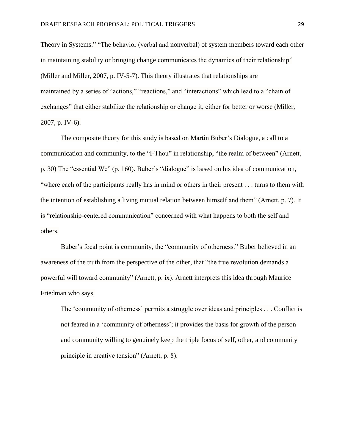Theory in Systems." "The behavior (verbal and nonverbal) of system members toward each other in maintaining stability or bringing change communicates the dynamics of their relationship" (Miller and Miller, 2007, p. IV-5-7). This theory illustrates that relationships are maintained by a series of "actions," "reactions," and "interactions" which lead to a "chain of exchanges" that either stabilize the relationship or change it, either for better or worse (Miller, 2007, p. IV-6).

The composite theory for this study is based on Martin Buber's Dialogue, a call to a communication and community, to the "I-Thou" in relationship, "the realm of between" (Arnett, p. 30) The "essential We" (p. 160). Buber's "dialogue" is based on his idea of communication, "where each of the participants really has in mind or others in their present . . . turns to them with the intention of establishing a living mutual relation between himself and them" (Arnett, p. 7). It is "relationship-centered communication" concerned with what happens to both the self and others.

Buber's focal point is community, the "community of otherness." Buber believed in an awareness of the truth from the perspective of the other, that "the true revolution demands a powerful will toward community" (Arnett, p. ix). Arnett interprets this idea through Maurice Friedman who says,

The 'community of otherness' permits a struggle over ideas and principles . . . Conflict is not feared in a 'community of otherness'; it provides the basis for growth of the person and community willing to genuinely keep the triple focus of self, other, and community principle in creative tension" (Arnett, p. 8).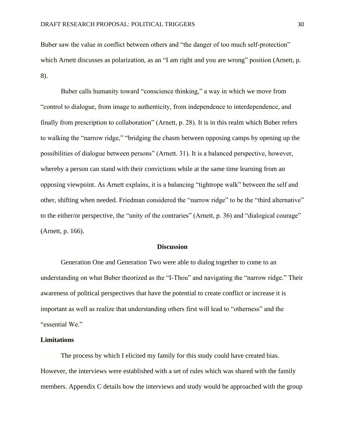Buber saw the value in conflict between others and "the danger of too much self-protection" which Arnett discusses as polarization, as an "I am right and you are wrong" position (Arnett, p. 8).

Buber calls humanity toward "conscience thinking," a way in which we move from "control to dialogue, from image to authenticity, from independence to interdependence, and finally from prescription to collaboration" (Arnett, p. 28). It is in this realm which Buber refers to walking the "narrow ridge," "bridging the chasm between opposing camps by opening up the possibilities of dialogue between persons" (Arnett. 31). It is a balanced perspective, however, whereby a person can stand with their convictions while at the same time learning from an opposing viewpoint. As Arnett explains, it is a balancing "tightrope walk" between the self and other, shifting when needed. Friedman considered the "narrow ridge" to be the "third alternative" to the either/or perspective, the "unity of the contraries" (Arnett, p. 36) and "dialogical courage" (Arnett, p. 166).

#### **Discussion**

Generation One and Generation Two were able to dialog together to come to an understanding on what Buber theorized as the "I-Thou" and navigating the "narrow ridge." Their awareness of political perspectives that have the potential to create conflict or increase it is important as well as realize that understanding others first will lead to "otherness" and the "essential We."

#### **Limitations**

The process by which I elicited my family for this study could have created bias. However, the interviews were established with a set of rules which was shared with the family members. Appendix C details how the interviews and study would be approached with the group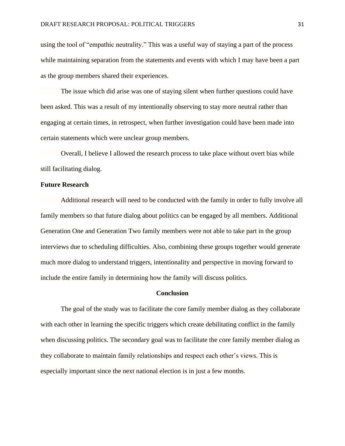using the tool of "empathic neutrality." This was a useful way of staying a part of the process while maintaining separation from the statements and events with which I may have been a part as the group members shared their experiences.

The issue which did arise was one of staying silent when further questions could have been asked. This was a result of my intentionally observing to stay more neutral rather than engaging at certain times, in retrospect, when further investigation could have been made into certain statements which were unclear group members.

Overall, I believe I allowed the research process to take place without overt bias while still facilitating dialog.

#### **Future Research**

Additional research will need to be conducted with the family in order to fully involve all family members so that future dialog about politics can be engaged by all members. Additional Generation One and Generation Two family members were not able to take part in the group interviews due to scheduling difficulties. Also, combining these groups together would generate much more dialog to understand triggers, intentionality and perspective in moving forward to include the entire family in determining how the family will discuss politics.

#### **Conclusion**

The goal of the study was to facilitate the core family member dialog as they collaborate with each other in learning the specific triggers which create debilitating conflict in the family when discussing politics. The secondary goal was to facilitate the core family member dialog as they collaborate to maintain family relationships and respect each other's views. This is especially important since the next national election is in just a few months.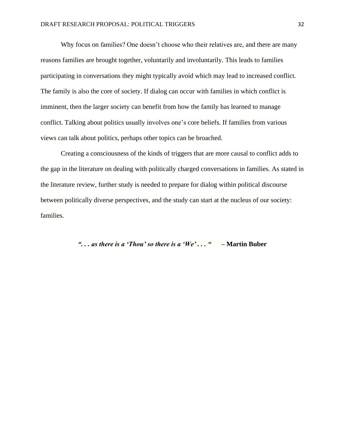Why focus on families? One doesn't choose who their relatives are, and there are many reasons families are brought together, voluntarily and involuntarily. This leads to families participating in conversations they might typically avoid which may lead to increased conflict. The family is also the core of society. If dialog can occur with families in which conflict is imminent, then the larger society can benefit from how the family has learned to manage conflict. Talking about politics usually involves one's core beliefs. If families from various views can talk about politics, perhaps other topics can be broached.

Creating a consciousness of the kinds of triggers that are more causal to conflict adds to the gap in the literature on dealing with politically charged conversations in families. As stated in the literature review, further study is needed to prepare for dialog within political discourse between politically diverse perspectives, and the study can start at the nucleus of our society: families.

## *". . . as there is a 'Thou' so there is a 'We' . . . "* **– Martin Buber**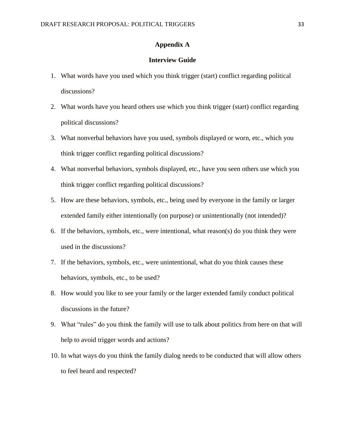### **Appendix A**

## **Interview Guide**

- 1. What words have you used which you think trigger (start) conflict regarding political discussions?
- 2. What words have you heard others use which you think trigger (start) conflict regarding political discussions?
- 3. What nonverbal behaviors have you used, symbols displayed or worn, etc., which you think trigger conflict regarding political discussions?
- 4. What nonverbal behaviors, symbols displayed, etc., have you seen others use which you think trigger conflict regarding political discussions?
- 5. How are these behaviors, symbols, etc., being used by everyone in the family or larger extended family either intentionally (on purpose) or unintentionally (not intended)?
- 6. If the behaviors, symbols, etc., were intentional, what reason(s) do you think they were used in the discussions?
- 7. If the behaviors, symbols, etc., were unintentional, what do you think causes these behaviors, symbols, etc., to be used?
- 8. How would you like to see your family or the larger extended family conduct political discussions in the future?
- 9. What "rules" do you think the family will use to talk about politics from here on that will help to avoid trigger words and actions?
- 10. In what ways do you think the family dialog needs to be conducted that will allow others to feel heard and respected?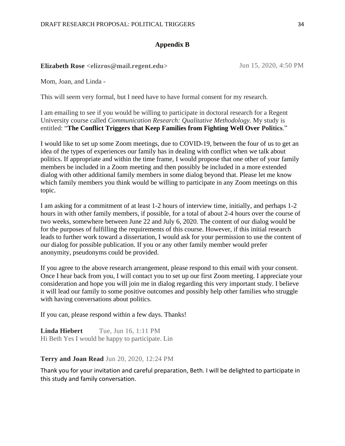### **Appendix B**

## **Elizabeth Rose <elizros@mail.regent.edu>** Jun 15, 2020, 4:50 PM

Mom, Joan, and Linda -

This will seem very formal, but I need have to have formal consent for my research.

I am emailing to see if you would be willing to participate in doctoral research for a Regent University course called *Communication Research: Qualitative Methodology.* My study is entitled: "**The Conflict Triggers that Keep Families from Fighting Well Over Politics**."

I would like to set up some Zoom meetings, due to COVID-19, between the four of us to get an idea of the types of experiences our family has in dealing with conflict when we talk about politics. If appropriate and within the time frame, I would propose that one other of your family members be included in a Zoom meeting and then possibly be included in a more extended dialog with other additional family members in some dialog beyond that. Please let me know which family members you think would be willing to participate in any Zoom meetings on this topic.

I am asking for a commitment of at least 1-2 hours of interview time, initially, and perhaps 1-2 hours in with other family members, if possible, for a total of about 2-4 hours over the course of two weeks, somewhere between June 22 and July 6, 2020. The content of our dialog would be for the purposes of fulfilling the requirements of this course. However, if this initial research leads to further work toward a dissertation, I would ask for your permission to use the content of our dialog for possible publication. If you or any other family member would prefer anonymity, pseudonyms could be provided.

If you agree to the above research arrangement, please respond to this email with your consent. Once I hear back from you, I will contact you to set up our first Zoom meeting. I appreciate your consideration and hope you will join me in dialog regarding this very important study. I believe it will lead our family to some positive outcomes and possibly help other families who struggle with having conversations about politics.

If you can, please respond within a few days. Thanks!

**Linda Hiebert** Tue, Jun 16, 1:11 PM Hi Beth Yes I would be happy to participate. Lin

### **Terry and Joan Read** Jun 20, 2020, 12:24 PM

Thank you for your invitation and careful preparation, Beth. I will be delighted to participate in this study and family conversation.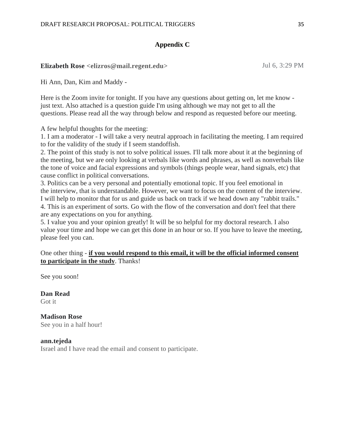### **Appendix C**

# **Elizabeth Rose <elizros@mail.regent.edu>** Jul 6, 3:29 PM

Hi Ann, Dan, Kim and Maddy -

Here is the Zoom invite for tonight. If you have any questions about getting on, let me know just text. Also attached is a question guide I'm using although we may not get to all the questions. Please read all the way through below and respond as requested before our meeting.

A few helpful thoughts for the meeting:

1. I am a moderator - I will take a very neutral approach in facilitating the meeting. I am required to for the validity of the study if I seem standoffish.

2. The point of this study is not to solve political issues. I'll talk more about it at the beginning of the meeting, but we are only looking at verbals like words and phrases, as well as nonverbals like the tone of voice and facial expressions and symbols (things people wear, hand signals, etc) that cause conflict in political conversations.

3. Politics can be a very personal and potentially emotional topic. If you feel emotional in the interview, that is understandable. However, we want to focus on the content of the interview. I will help to monitor that for us and guide us back on track if we head down any "rabbit trails." 4. This is an experiment of sorts. Go with the flow of the conversation and don't feel that there are any expectations on you for anything.

5. I value you and your opinion greatly! It will be so helpful for my doctoral research. I also value your time and hope we can get this done in an hour or so. If you have to leave the meeting, please feel you can.

### One other thing - **if you would respond to this email, it will be the official informed consent to participate in the study**. Thanks!

See you soon!

**Dan Read** Got it

**Madison Rose** See you in a half hour!

**ann.tejeda** Israel and I have read the email and consent to participate.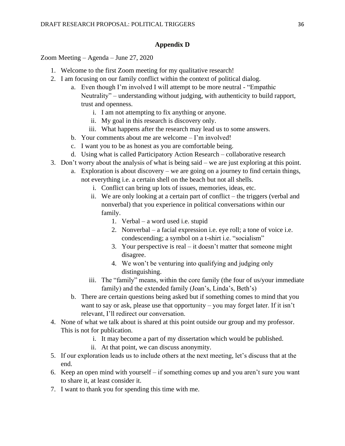## **Appendix D**

Zoom Meeting – Agenda – June 27, 2020

- 1. Welcome to the first Zoom meeting for my qualitative research!
- 2. I am focusing on our family conflict within the context of political dialog.
	- a. Even though I'm involved I will attempt to be more neutral "Empathic Neutrality" – understanding without judging, with authenticity to build rapport, trust and openness.
		- i. I am not attempting to fix anything or anyone.
		- ii. My goal in this research is discovery only.
		- iii. What happens after the research may lead us to some answers.
	- b. Your comments about me are welcome I'm involved!
	- c. I want you to be as honest as you are comfortable being.
	- d. Using what is called Participatory Action Research collaborative research
- 3. Don't worry about the analysis of what is being said we are just exploring at this point.
	- a. Exploration is about discovery we are going on a journey to find certain things, not everything i.e. a certain shell on the beach but not all shells.
		- i. Conflict can bring up lots of issues, memories, ideas, etc.
		- ii. We are only looking at a certain part of conflict the triggers (verbal and nonverbal) that you experience in political conversations within our family.
			- 1. Verbal a word used i.e. stupid
			- 2. Nonverbal a facial expression i.e. eye roll; a tone of voice i.e. condescending; a symbol on a t-shirt i.e. "socialism"
			- 3. Your perspective is real it doesn't matter that someone might disagree.
			- 4. We won't be venturing into qualifying and judging only distinguishing.
		- iii. The "family" means, within the core family (the four of us/your immediate family) and the extended family (Joan's, Linda's, Beth's)
	- b. There are certain questions being asked but if something comes to mind that you want to say or ask, please use that opportunity – you may forget later. If it isn't relevant, I'll redirect our conversation.
- 4. None of what we talk about is shared at this point outside our group and my professor. This is not for publication.
	- i. It may become a part of my dissertation which would be published.
	- ii. At that point, we can discuss anonymity.
- 5. If our exploration leads us to include others at the next meeting, let's discuss that at the end.
- 6. Keep an open mind with yourself if something comes up and you aren't sure you want to share it, at least consider it.
- 7. I want to thank you for spending this time with me.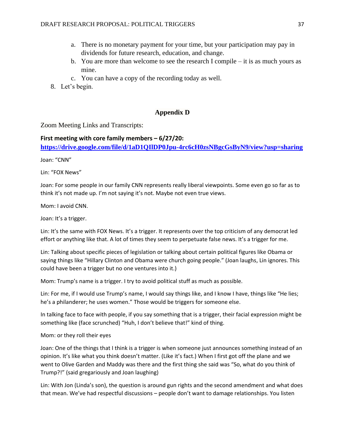- a. There is no monetary payment for your time, but your participation may pay in dividends for future research, education, and change.
- b. You are more than welcome to see the research I compile it is as much yours as mine.
- c. You can have a copy of the recording today as well.
- 8. Let's begin.

### **Appendix D**

Zoom Meeting Links and Transcripts:

**First meeting with core family members – 6/27/20: <https://drive.google.com/file/d/1aD1QIlDP0Jpu-4rc6cH0zsNBgcGsByN9/view?usp=sharing>**

Joan: "CNN"

Lin: "FOX News"

Joan: For some people in our family CNN represents really liberal viewpoints. Some even go so far as to think it's not made up. I'm not saying it's not. Maybe not even true views.

Mom: I avoid CNN.

Joan: It's a trigger.

Lin: It's the same with FOX News. It's a trigger. It represents over the top criticism of any democrat led effort or anything like that. A lot of times they seem to perpetuate false news. It's a trigger for me.

Lin: Talking about specific pieces of legislation or talking about certain political figures like Obama or saying things like "Hillary Clinton and Obama were church going people." (Joan laughs, Lin ignores. This could have been a trigger but no one ventures into it.)

Mom: Trump's name is a trigger. I try to avoid political stuff as much as possible.

Lin: For me, if I would use Trump's name, I would say things like, and I know I have, things like "He lies; he's a philanderer; he uses women." Those would be triggers for someone else.

In talking face to face with people, if you say something that is a trigger, their facial expression might be something like (face scrunched) "Huh, I don't believe that!" kind of thing.

Mom: or they roll their eyes

Joan: One of the things that I think is a trigger is when someone just announces something instead of an opinion. It's like what you think doesn't matter. (Like it's fact.) When I first got off the plane and we went to Olive Garden and Maddy was there and the first thing she said was "So, what do you think of Trump?!" (said gregariously and Joan laughing)

Lin: With Jon (Linda's son), the question is around gun rights and the second amendment and what does that mean. We've had respectful discussions – people don't want to damage relationships. You listen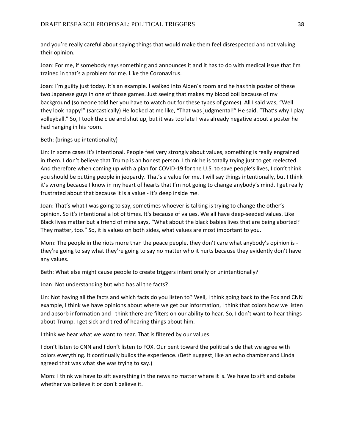and you're really careful about saying things that would make them feel disrespected and not valuing their opinion.

Joan: For me, if somebody says something and announces it and it has to do with medical issue that I'm trained in that's a problem for me. Like the Coronavirus.

Joan: I'm guilty just today. It's an example. I walked into Aiden's room and he has this poster of these two Japanese guys in one of those games. Just seeing that makes my blood boil because of my background (someone told her you have to watch out for these types of games). All I said was, "Well they look happy!" (sarcastically) He looked at me like, "That was judgmental!" He said, "That's why I play volleyball." So, I took the clue and shut up, but it was too late I was already negative about a poster he had hanging in his room.

### Beth: (brings up intentionality)

Lin: In some cases it's intentional. People feel very strongly about values, something is really engrained in them. I don't believe that Trump is an honest person. I think he is totally trying just to get reelected. And therefore when coming up with a plan for COVID-19 for the U.S. to save people's lives, I don't think you should be putting people in jeopardy. That's a value for me. I will say things intentionally, but I think it's wrong because I know in my heart of hearts that I'm not going to change anybody's mind. I get really frustrated about that because it is a value - it's deep inside me.

Joan: That's what I was going to say, sometimes whoever is talking is trying to change the other's opinion. So it's intentional a lot of times. It's because of values. We all have deep-seeded values. Like Black lives matter but a friend of mine says, "What about the black babies lives that are being aborted? They matter, too." So, it is values on both sides, what values are most important to you.

Mom: The people in the riots more than the peace people, they don't care what anybody's opinion is they're going to say what they're going to say no matter who it hurts because they evidently don't have any values.

Beth: What else might cause people to create triggers intentionally or unintentionally?

Joan: Not understanding but who has all the facts?

Lin: Not having all the facts and which facts do you listen to? Well, I think going back to the Fox and CNN example, I think we have opinions about where we get our information, I think that colors how we listen and absorb information and I think there are filters on our ability to hear. So, I don't want to hear things about Trump. I get sick and tired of hearing things about him.

I think we hear what we want to hear. That is filtered by our values.

I don't listen to CNN and I don't listen to FOX. Our bent toward the political side that we agree with colors everything. It continually builds the experience. (Beth suggest, like an echo chamber and Linda agreed that was what she was trying to say.)

Mom: I think we have to sift everything in the news no matter where it is. We have to sift and debate whether we believe it or don't believe it.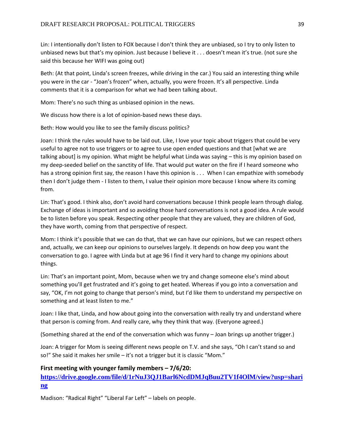Lin: I intentionally don't listen to FOX because I don't think they are unbiased, so I try to only listen to unbiased news but that's my opinion. Just because I believe it . . . doesn't mean it's true. (not sure she said this because her WIFI was going out)

Beth: (At that point, Linda's screen freezes, while driving in the car.) You said an interesting thing while you were in the car - "Joan's frozen" when, actually, you were frozen. It's all perspective. Linda comments that it is a comparison for what we had been talking about.

Mom: There's no such thing as unbiased opinion in the news.

We discuss how there is a lot of opinion-based news these days.

Beth: How would you like to see the family discuss politics?

Joan: I think the rules would have to be laid out. Like, I love your topic about triggers that could be very useful to agree not to use triggers or to agree to use open ended questions and that [what we are talking about] is my opinion. What might be helpful what Linda was saying – this is my opinion based on my deep-seeded belief on the sanctity of life. That would put water on the fire if I heard someone who has a strong opinion first say, the reason I have this opinion is . . . When I can empathize with somebody then I don't judge them - I listen to them, I value their opinion more because I know where its coming from.

Lin: That's good. I think also, don't avoid hard conversations because I think people learn through dialog. Exchange of ideas is important and so avoiding those hard conversations is not a good idea. A rule would be to listen before you speak. Respecting other people that they are valued, they are children of God, they have worth, coming from that perspective of respect.

Mom: I think it's possible that we can do that, that we can have our opinions, but we can respect others and, actually, we can keep our opinions to ourselves largely. It depends on how deep you want the conversation to go. I agree with Linda but at age 96 I find it very hard to change my opinions about things.

Lin: That's an important point, Mom, because when we try and change someone else's mind about something you'll get frustrated and it's going to get heated. Whereas if you go into a conversation and say, "OK, I'm not going to change that person's mind, but I'd like them to understand my perspective on something and at least listen to me."

Joan: I like that, Linda, and how about going into the conversation with really try and understand where that person is coming from. And really care, why they think that way. (Everyone agreed.)

(Something shared at the end of the conversation which was funny – Joan brings up another trigger.)

Joan: A trigger for Mom is seeing different news people on T.V. and she says, "Oh I can't stand so and so!" She said it makes her smile – it's not a trigger but it is classic "Mom."

## **First meeting with younger family members – 7/6/20:**

**[https://drive.google.com/file/d/1rNuJ3QJ1Barl6NcdDMJqBuu2TV1f4OlM/view?usp=shari](https://drive.google.com/file/d/1rNuJ3QJ1Barl6NcdDMJqBuu2TV1f4OlM/view?usp=sharing) [ng](https://drive.google.com/file/d/1rNuJ3QJ1Barl6NcdDMJqBuu2TV1f4OlM/view?usp=sharing)**

Madison: "Radical Right" "Liberal Far Left" – labels on people.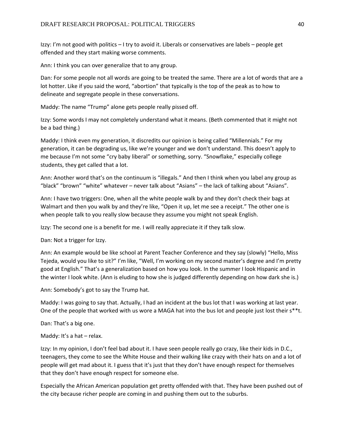Izzy: I'm not good with politics – I try to avoid it. Liberals or conservatives are labels – people get offended and they start making worse comments.

Ann: I think you can over generalize that to any group.

Dan: For some people not all words are going to be treated the same. There are a lot of words that are a lot hotter. Like if you said the word, "abortion" that typically is the top of the peak as to how to delineate and segregate people in these conversations.

Maddy: The name "Trump" alone gets people really pissed off.

Izzy: Some words I may not completely understand what it means. (Beth commented that it might not be a bad thing.)

Maddy: I think even my generation, it discredits our opinion is being called "Millennials." For my generation, it can be degrading us, like we're younger and we don't understand. This doesn't apply to me because I'm not some "cry baby liberal" or something, sorry. "Snowflake," especially college students, they get called that a lot.

Ann: Another word that's on the continuum is "illegals." And then I think when you label any group as "black" "brown" "white" whatever – never talk about "Asians" – the lack of talking about "Asians".

Ann: I have two triggers: One, when all the white people walk by and they don't check their bags at Walmart and then you walk by and they're like, "Open it up, let me see a receipt." The other one is when people talk to you really slow because they assume you might not speak English.

Izzy: The second one is a benefit for me. I will really appreciate it if they talk slow.

Dan: Not a trigger for Izzy.

Ann: An example would be like school at Parent Teacher Conference and they say (slowly) "Hello, Miss Tejeda, would you like to sit?" I'm like, "Well, I'm working on my second master's degree and I'm pretty good at English." That's a generalization based on how you look. In the summer I look Hispanic and in the winter I look white. (Ann is eluding to how she is judged differently depending on how dark she is.)

Ann: Somebody's got to say the Trump hat.

Maddy: I was going to say that. Actually, I had an incident at the bus lot that I was working at last year. One of the people that worked with us wore a MAGA hat into the bus lot and people just lost their s\*\*t.

Dan: That's a big one.

Maddy: It's a hat – relax.

Izzy: In my opinion, I don't feel bad about it. I have seen people really go crazy, like their kids in D.C., teenagers, they come to see the White House and their walking like crazy with their hats on and a lot of people will get mad about it. I guess that it's just that they don't have enough respect for themselves that they don't have enough respect for someone else.

Especially the African American population get pretty offended with that. They have been pushed out of the city because richer people are coming in and pushing them out to the suburbs.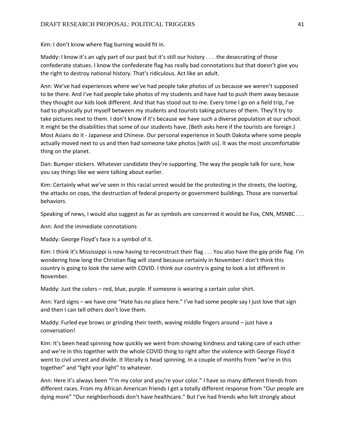Kim: I don't know where flag burning would fit in.

Maddy: I know it's an ugly part of our past but it's still our history . . . the desecrating of those confederate statues. I know the confederate flag has really bad connotations but that doesn't give you the right to destroy national history. That's ridiculous. Act like an adult.

Ann: We've had experiences where we've had people take photos of us because we weren't supposed to be there. And I've had people take photos of my students and have had to push them away because they thought our kids look different. And that has stood out to me. Every time I go on a field trip, I've had to physically put myself between my students and tourists taking pictures of them. They'll try to take pictures next to them. I don't know if it's because we have such a diverse population at our school. It might be the disabilities that some of our students have. (Beth asks here if the tourists are foreign.) Most Asians do it - Japanese and Chinese. Our personal experience in South Dakota where some people actually moved next to us and then had someone take photos [with us]. It was the most uncomfortable thing on the planet.

Dan: Bumper stickers. Whatever candidate they're supporting. The way the people talk for sure, how you say things like we were talking about earlier.

Kim: Certainly what we've seen in this racial unrest would be the protesting in the streets, the looting, the attacks on cops, the destruction of federal property or government buildings. Those are nonverbal behaviors.

Speaking of news, I would also suggest as far as symbols are concerned it would be Fox, CNN, MSNBC . . .

Ann: And the immediate connotations

Maddy: George Floyd's face is a symbol of it.

Kim: I think it's Mississippi is now having to reconstruct their flag . . . You also have the gay pride flag. I'm wondering how long the Christian flag will stand because certainly in November I don't think this country is going to look the same with COVID. I think our country is going to look a lot different in November.

Maddy: Just the colors – red, blue, purple. If someone is wearing a certain color shirt.

Ann: Yard signs – we have one "Hate has no place here." I've had some people say I just love that sign and then I can tell others don't love them.

Maddy: Furled eye brows or grinding their teeth, waving middle fingers around – just have a conversation!

Kim: It's been head spinning how quickly we went from showing kindness and taking care of each other and we're in this together with the whole COVID thing to right after the violence with George Floyd it went to civil unrest and divide. It literally is head spinning. In a couple of months from "we're in this together" and "light your light" to whatever.

Ann: Here it's always been "I'm my color and you're your color." I have so many different friends from different races. From my African American friends I get a totally different response from "Our people are dying more" "Our neighborhoods don't have healthcare." But I've had friends who felt strongly about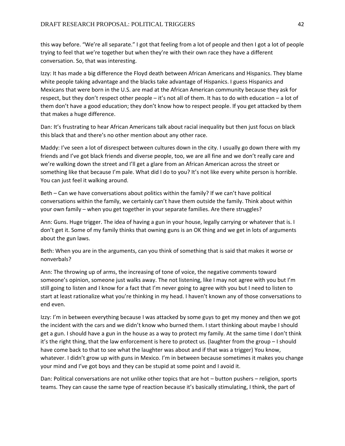this way before. "We're all separate." I got that feeling from a lot of people and then I got a lot of people trying to feel that we're together but when they're with their own race they have a different conversation. So, that was interesting.

Izzy: It has made a big difference the Floyd death between African Americans and Hispanics. They blame white people taking advantage and the blacks take advantage of Hispanics. I guess Hispanics and Mexicans that were born in the U.S. are mad at the African American community because they ask for respect, but they don't respect other people – it's not all of them. It has to do with education – a lot of them don't have a good education; they don't know how to respect people. If you get attacked by them that makes a huge difference.

Dan: It's frustrating to hear African Americans talk about racial inequality but then just focus on black this black that and there's no other mention about any other race.

Maddy: I've seen a lot of disrespect between cultures down in the city. I usually go down there with my friends and I've got black friends and diverse people, too, we are all fine and we don't really care and we're walking down the street and I'll get a glare from an African American across the street or something like that because I'm pale. What did I do to you? It's not like every white person is horrible. You can just feel it walking around.

Beth – Can we have conversations about politics within the family? If we can't have political conversations within the family, we certainly can't have them outside the family. Think about within your own family – when you get together in your separate families. Are there struggles?

Ann: Guns. Huge trigger. The idea of having a gun in your house, legally carrying or whatever that is. I don't get it. Some of my family thinks that owning guns is an OK thing and we get in lots of arguments about the gun laws.

Beth: When you are in the arguments, can you think of something that is said that makes it worse or nonverbals?

Ann: The throwing up of arms, the increasing of tone of voice, the negative comments toward someone's opinion, someone just walks away. The not listening, like I may not agree with you but I'm still going to listen and I know for a fact that I'm never going to agree with you but I need to listen to start at least rationalize what you're thinking in my head. I haven't known any of those conversations to end even.

Izzy: I'm in between everything because I was attacked by some guys to get my money and then we got the incident with the cars and we didn't know who burned them. I start thinking about maybe I should get a gun. I should have a gun in the house as a way to protect my family. At the same time I don't think it's the right thing, that the law enforcement is here to protect us. (laughter from the group – I should have come back to that to see what the laughter was about and if that was a trigger) You know, whatever. I didn't grow up with guns in Mexico. I'm in between because sometimes it makes you change your mind and I've got boys and they can be stupid at some point and I avoid it.

Dan: Political conversations are not unlike other topics that are hot – button pushers – religion, sports teams. They can cause the same type of reaction because it's basically stimulating, I think, the part of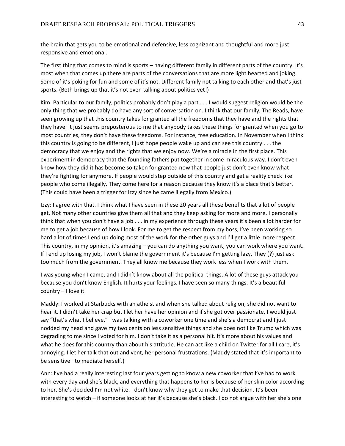the brain that gets you to be emotional and defensive, less cognizant and thoughtful and more just responsive and emotional.

The first thing that comes to mind is sports – having different family in different parts of the country. It's most when that comes up there are parts of the conversations that are more light hearted and joking. Some of it's poking for fun and some of it's not. Different family not talking to each other and that's just sports. (Beth brings up that it's not even talking about politics yet!)

Kim: Particular to our family, politics probably don't play a part . . . I would suggest religion would be the only thing that we probably do have any sort of conversation on. I think that our family, The Reads, have seen growing up that this country takes for granted all the freedoms that they have and the rights that they have. It just seems preposterous to me that anybody takes these things for granted when you go to most countries, they don't have these freedoms. For instance, free education. In November when I think this country is going to be different, I just hope people wake up and can see this country . . . the democracy that we enjoy and the rights that we enjoy now. We're a miracle in the first place. This experiment in democracy that the founding fathers put together in some miraculous way. I don't even know how they did it has become so taken for granted now that people just don't even know what they're fighting for anymore. If people would step outside of this country and get a reality check like people who come illegally. They come here for a reason because they know it's a place that's better. (This could have been a trigger for Izzy since he came illegally from Mexico.)

Izzy: I agree with that. I think what I have seen in these 20 years all these benefits that a lot of people get. Not many other countries give them all that and they keep asking for more and more. I personally think that when you don't have a job . . . in my experience through these years it's been a lot harder for me to get a job because of how I look. For me to get the respect from my boss, I've been working so hard a lot of times I end up doing most of the work for the other guys and I'll get a little more respect. This country, in my opinion, it's amazing – you can do anything you want; you can work where you want. If I end up losing my job, I won't blame the government it's because I'm getting lazy. They (?) just ask too much from the government. They all know me because they work less when I work with them.

I was young when I came, and I didn't know about all the political things. A lot of these guys attack you because you don't know English. It hurts your feelings. I have seen so many things. It's a beautiful country – I love it.

Maddy: I worked at Starbucks with an atheist and when she talked about religion, she did not want to hear it. I didn't take her crap but I let her have her opinion and if she got over passionate, I would just say "that's what I believe." I was talking with a coworker one time and she's a democrat and I just nodded my head and gave my two cents on less sensitive things and she does not like Trump which was degrading to me since I voted for him. I don't take it as a personal hit. It's more about his values and what he does for this country than about his attitude. He can act like a child on Twitter for all I care, it's annoying. I let her talk that out and vent, her personal frustrations. (Maddy stated that it's important to be sensitive –to mediate herself.)

Ann: I've had a really interesting last four years getting to know a new coworker that I've had to work with every day and she's black, and everything that happens to her is because of her skin color according to her. She's decided I'm not white. I don't know why they get to make that decision. It's been interesting to watch – if someone looks at her it's because she's black. I do not argue with her she's one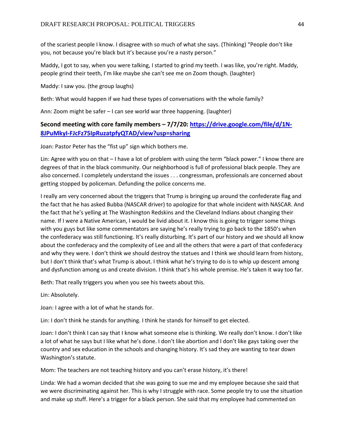of the scariest people I know. I disagree with so much of what she says. (Thinking) "People don't like you, not because you're black but it's because you're a nasty person."

Maddy, I got to say, when you were talking, I started to grind my teeth. I was like, you're right. Maddy, people grind their teeth, I'm like maybe she can't see me on Zoom though. (laughter)

Maddy: I saw you. (the group laughs)

Beth: What would happen if we had these types of conversations with the whole family?

Ann: Zoom might be safer – I can see world war three happening. (laughter)

## **Second meeting with core family members – 7/7/20: [https://drive.google.com/file/d/1N-](https://drive.google.com/file/d/1N-8JPuMkyI-FJcFz75IpRuzatpfyQTAD/view?usp=sharing)[8JPuMkyI-FJcFz75IpRuzatpfyQTAD/view?usp=sharing](https://drive.google.com/file/d/1N-8JPuMkyI-FJcFz75IpRuzatpfyQTAD/view?usp=sharing)**

Joan: Pastor Peter has the "fist up" sign which bothers me.

Lin: Agree with you on that – I have a lot of problem with using the term "black power." I know there are degrees of that in the black community. Our neighborhood is full of professional black people. They are also concerned. I completely understand the issues . . . congressman, professionals are concerned about getting stopped by policeman. Defunding the police concerns me.

I really am very concerned about the triggers that Trump is bringing up around the confederate flag and the fact that he has asked Bubba (NASCAR driver) to apologize for that whole incident with NASCAR. And the fact that he's yelling at The Washington Redskins and the Cleveland Indians about changing their name. If I were a Native American, I would be livid about it. I know this is going to trigger some things with you guys but like some commentators are saying he's really trying to go back to the 1850's when the confederacy was still functioning. It's really disturbing. It's part of our history and we should all know about the confederacy and the complexity of Lee and all the others that were a part of that confederacy and why they were. I don't think we should destroy the statues and I think we should learn from history, but I don't think that's what Trump is about. I think what he's trying to do is to whip up descent among and dysfunction among us and create division. I think that's his whole premise. He's taken it way too far.

Beth: That really triggers you when you see his tweets about this.

Lin: Absolutely.

Joan: I agree with a lot of what he stands for.

Lin: I don't think he stands for anything. I think he stands for himself to get elected.

Joan: I don't think I can say that I know what someone else is thinking. We really don't know. I don't like a lot of what he says but I like what he's done. I don't like abortion and I don't like gays taking over the country and sex education in the schools and changing history. It's sad they are wanting to tear down Washington's statute.

Mom: The teachers are not teaching history and you can't erase history, it's there!

Linda: We had a woman decided that she was going to sue me and my employee because she said that we were discriminating against her. This is why I struggle with race. Some people try to use the situation and make up stuff. Here's a trigger for a black person. She said that my employee had commented on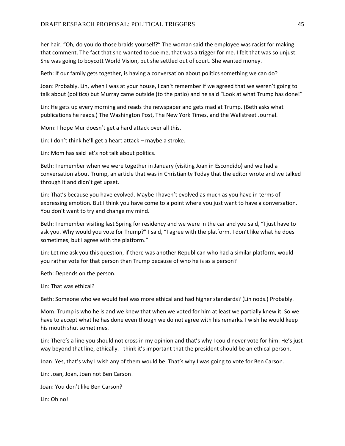her hair, "Oh, do you do those braids yourself?" The woman said the employee was racist for making that comment. The fact that she wanted to sue me, that was a trigger for me. I felt that was so unjust. She was going to boycott World Vision, but she settled out of court. She wanted money.

Beth: If our family gets together, is having a conversation about politics something we can do?

Joan: Probably. Lin, when I was at your house, I can't remember if we agreed that we weren't going to talk about (politics) but Murray came outside (to the patio) and he said "Look at what Trump has done!"

Lin: He gets up every morning and reads the newspaper and gets mad at Trump. (Beth asks what publications he reads.) The Washington Post, The New York Times, and the Wallstreet Journal.

Mom: I hope Mur doesn't get a hard attack over all this.

Lin: I don't think he'll get a heart attack – maybe a stroke.

Lin: Mom has said let's not talk about politics.

Beth: I remember when we were together in January (visiting Joan in Escondido) and we had a conversation about Trump, an article that was in Christianity Today that the editor wrote and we talked through it and didn't get upset.

Lin: That's because you have evolved. Maybe I haven't evolved as much as you have in terms of expressing emotion. But I think you have come to a point where you just want to have a conversation. You don't want to try and change my mind.

Beth: I remember visiting last Spring for residency and we were in the car and you said, "I just have to ask you. Why would you vote for Trump?" I said, "I agree with the platform. I don't like what he does sometimes, but I agree with the platform."

Lin: Let me ask you this question, if there was another Republican who had a similar platform, would you rather vote for that person than Trump because of who he is as a person?

Beth: Depends on the person.

Lin: That was ethical?

Beth: Someone who we would feel was more ethical and had higher standards? (Lin nods.) Probably.

Mom: Trump is who he is and we knew that when we voted for him at least we partially knew it. So we have to accept what he has done even though we do not agree with his remarks. I wish he would keep his mouth shut sometimes.

Lin: There's a line you should not cross in my opinion and that's why I could never vote for him. He's just way beyond that line, ethically. I think it's important that the president should be an ethical person.

Joan: Yes, that's why I wish any of them would be. That's why I was going to vote for Ben Carson.

Lin: Joan, Joan, Joan not Ben Carson!

Joan: You don't like Ben Carson?

Lin: Oh no!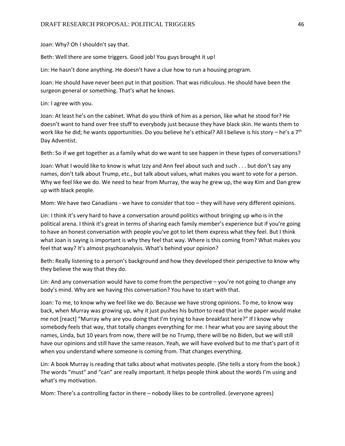Joan: Why? Oh I shouldn't say that.

Beth: Well there are some triggers. Good job! You guys brought it up!

Lin: He hasn't done anything. He doesn't have a clue how to run a housing program.

Joan: He should have never been put in that position. That was ridiculous. He should have been the surgeon general or something. That's what he knows.

Lin: I agree with you.

Joan: At least he's on the cabinet. What do you think of him as a person, like what he stood for? He doesn't want to hand over free stuff to everybody just because they have black skin. He wants them to work like he did; he wants opportunities. Do you believe he's ethical? All I believe is his story – he's a  $7<sup>th</sup>$ Day Adventist.

Beth: So if we get together as a family what do we want to see happen in these types of conversations?

Joan: What I would like to know is what Izzy and Ann feel about such and such . . . but don't say any names, don't talk about Trump, etc., but talk about values, what makes you want to vote for a person. Why we feel like we do. We need to hear from Murray, the way he grew up, the way Kim and Dan grew up with black people.

Mom: We have two Canadians - we have to consider that too – they will have very different opinions.

Lin: I think it's very hard to have a conversation around politics without bringing up who is in the political arena. I think it's great in terms of sharing each family member's experience but if you're going to have an honest conversation with people you've got to let them express what they feel. But I think what Joan is saying is important is why they feel that way. Where is this coming from? What makes you feel that way? It's almost psychoanalysis. What's behind your opinion?

Beth: Really listening to a person's background and how they developed their perspective to know why they believe the way that they do.

Lin: And any conversation would have to come from the perspective – you're not going to change any body's mind. Why are we having this conversation? You have to start with that.

Joan: To me, to know why we feel like we do. Because we have strong opinions. To me, to know way back, when Murray was growing up, why it just pushes his button to read that in the paper would make me not [react] "Murray why are you doing that I'm trying to have breakfast here?" If I know why somebody feels that way, that totally changes everything for me. I hear what you are saying about the names, Linda, but 10 years from now, there will be no Trump, there will be no Biden, but we will still have our opinions and still have the same reason. Yeah, we will have evolved but to me that's part of it when you understand where someone is coming from. That changes everything.

Lin: A book Murray is reading that talks about what motivates people. (She tells a story from the book.) The words "must" and "can" are really important. It helps people think about the words I'm using and what's my motivation.

Mom: There's a controlling factor in there – nobody likes to be controlled. (everyone agrees)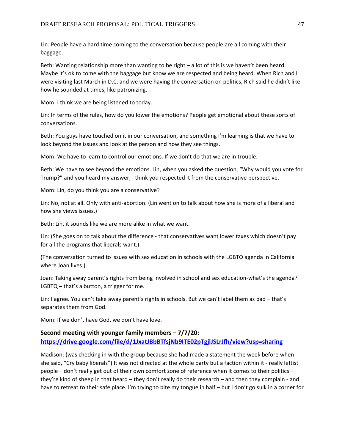Lin: People have a hard time coming to the conversation because people are all coming with their baggage.

Beth: Wanting relationship more than wanting to be right – a lot of this is we haven't been heard. Maybe it's ok to come with the baggage but know we are respected and being heard. When Rich and I were visiting last March in D.C. and we were having the conversation on politics, Rich said he didn't like how he sounded at times, like patronizing.

Mom: I think we are being listened to today.

Lin: In terms of the rules, how do you lower the emotions? People get emotional about these sorts of conversations.

Beth: You guys have touched on it in our conversation, and something I'm learning is that we have to look beyond the issues and look at the person and how they see things.

Mom: We have to learn to control our emotions. If we don't do that we are in trouble.

Beth: We have to see beyond the emotions. Lin, when you asked the question, "Why would you vote for Trump?" and you heard my answer, I think you respected it from the conservative perspective.

Mom: Lin, do you think you are a conservative?

Lin: No, not at all. Only with anti-abortion. (Lin went on to talk about how she is more of a liberal and how she views issues.)

Beth: Lin, it sounds like we are more alike in what we want.

Lin: (She goes on to talk about the difference - that conservatives want lower taxes which doesn't pay for all the programs that liberals want.)

(The conversation turned to issues with sex education in schools with the LGBTQ agenda in California where Joan lives.)

Joan: Taking away parent's rights from being involved in school and sex education-what's the agenda? LGBTQ – that's a button, a trigger for me.

Lin: I agree. You can't take away parent's rights in schools. But we can't label them as bad – that's separates them from God.

Mom: If we don't have God, we don't have love.

# **Second meeting with younger family members – 7/7/20: <https://drive.google.com/file/d/1JxatJBbBTfsjNb9ITE02pTgjlJSLrJfh/view?usp=sharing>**

Madison: (was checking in with the group because she had made a statement the week before when she said, "Cry baby liberals") It was not directed at the whole party but a faction within it - really leftist people – don't really get out of their own comfort zone of reference when it comes to their politics – they're kind of sheep in that heard – they don't really do their research – and then they complain - and have to retreat to their safe place. I'm trying to bite my tongue in half – but I don't go sulk in a corner for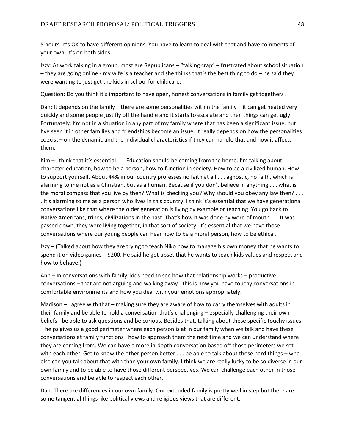5 hours. It's OK to have different opinions. You have to learn to deal with that and have comments of your own. It's on both sides.

Izzy: At work talking in a group, most are Republicans – "talking crap" – frustrated about school situation – they are going online - my wife is a teacher and she thinks that's the best thing to do – he said they were wanting to just get the kids in school for childcare.

Question: Do you think it's important to have open, honest conversations in family get togethers?

Dan: It depends on the family – there are some personalities within the family – it can get heated very quickly and some people just fly off the handle and it starts to escalate and then things can get ugly. Fortunately, I'm not in a situation in any part of my family where that has been a significant issue, but I've seen it in other families and friendships become an issue. It really depends on how the personalities coexist – on the dynamic and the individual characteristics if they can handle that and how it affects them.

Kim – I think that it's essential . . . Education should be coming from the home. I'm talking about character education, how to be a person, how to function in society. How to be a civilized human. How to support yourself. About 44% in our country professes no faith at all . . . agnostic, no faith, which is alarming to me not as a Christian, but as a human. Because if you don't believe in anything . . . what is the moral compass that you live by then? What is checking you? Why should you obey any law then? . . . . It's alarming to me as a person who lives in this country. I think it's essential that we have generational conversations like that where the older generation is living by example or teaching. You go back to Native Americans, tribes, civilizations in the past. That's how it was done by word of mouth . . . It was passed down, they were living together, in that sort of society. It's essential that we have those conversations where our young people can hear how to be a moral person, how to be ethical.

Izzy – (Talked about how they are trying to teach Niko how to manage his own money that he wants to spend it on video games – \$200. He said he got upset that he wants to teach kids values and respect and how to behave.)

Ann – In conversations with family, kids need to see how that relationship works – productive conversations – that are not arguing and walking away - this is how you have touchy conversations in comfortable environments and how you deal with your emotions appropriately.

Madison – I agree with that – making sure they are aware of how to carry themselves with adults in their family and be able to hold a conversation that's challenging – especially challenging their own beliefs - be able to ask questions and be curious. Besides that, talking about these specific touchy issues – helps gives us a good perimeter where each person is at in our family when we talk and have these conversations at family functions –how to approach them the next time and we can understand where they are coming from. We can have a more in-depth conversation based off those perimeters we set with each other. Get to know the other person better . . . be able to talk about those hard things – who else can you talk about that with than your own family. I think we are really lucky to be so diverse in our own family and to be able to have those different perspectives. We can challenge each other in those conversations and be able to respect each other.

Dan: There are differences in our own family. Our extended family is pretty well in step but there are some tangential things like political views and religious views that are different.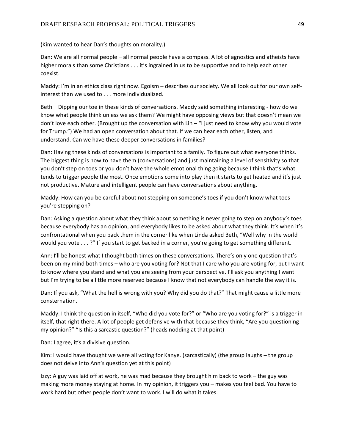(Kim wanted to hear Dan's thoughts on morality.)

Dan: We are all normal people – all normal people have a compass. A lot of agnostics and atheists have higher morals than some Christians . . . it's ingrained in us to be supportive and to help each other coexist.

Maddy: I'm in an ethics class right now. Egoism – describes our society. We all look out for our own selfinterest than we used to . . . more individualized.

Beth – Dipping our toe in these kinds of conversations. Maddy said something interesting - how do we know what people think unless we ask them? We might have opposing views but that doesn't mean we don't love each other. (Brought up the conversation with Lin – "I just need to know why you would vote for Trump.") We had an open conversation about that. If we can hear each other, listen, and understand. Can we have these deeper conversations in families?

Dan: Having these kinds of conversations is important to a family. To figure out what everyone thinks. The biggest thing is how to have them (conversations) and just maintaining a level of sensitivity so that you don't step on toes or you don't have the whole emotional thing going because I think that's what tends to trigger people the most. Once emotions come into play then it starts to get heated and it's just not productive. Mature and intelligent people can have conversations about anything.

Maddy: How can you be careful about not stepping on someone's toes if you don't know what toes you're stepping on?

Dan: Asking a question about what they think about something is never going to step on anybody's toes because everybody has an opinion, and everybody likes to be asked about what they think. It's when it's confrontational when you back them in the corner like when Linda asked Beth, "Well why in the world would you vote . . . ?" If you start to get backed in a corner, you're going to get something different.

Ann: I'll be honest what I thought both times on these conversations. There's only one question that's been on my mind both times – who are you voting for? Not that I care who you are voting for, but I want to know where you stand and what you are seeing from your perspective. I'll ask you anything I want but I'm trying to be a little more reserved because I know that not everybody can handle the way it is.

Dan: If you ask, "What the hell is wrong with you? Why did you do that?" That might cause a little more consternation.

Maddy: I think the question in itself, "Who did you vote for?" or "Who are you voting for?" is a trigger in itself, that right there. A lot of people get defensive with that because they think, "Are you questioning my opinion?" "Is this a sarcastic question?" (heads nodding at that point)

Dan: I agree, it's a divisive question.

Kim: I would have thought we were all voting for Kanye. (sarcastically) (the group laughs – the group does not delve into Ann's question yet at this point)

Izzy: A guy was laid off at work, he was mad because they brought him back to work – the guy was making more money staying at home. In my opinion, it triggers you – makes you feel bad. You have to work hard but other people don't want to work. I will do what it takes.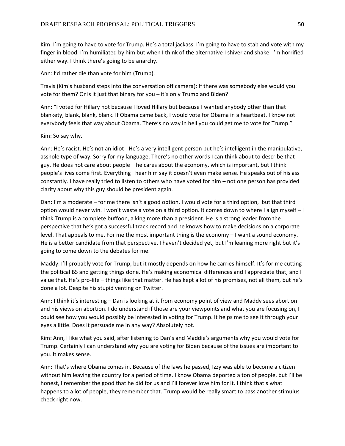Kim: I'm going to have to vote for Trump. He's a total jackass. I'm going to have to stab and vote with my finger in blood. I'm humiliated by him but when I think of the alternative I shiver and shake. I'm horrified either way. I think there's going to be anarchy.

Ann: I'd rather die than vote for him (Trump).

Travis (Kim's husband steps into the conversation off camera): If there was somebody else would you vote for them? Or is it just that binary for you – it's only Trump and Biden?

Ann: "I voted for Hillary not because I loved Hillary but because I wanted anybody other than that blankety, blank, blank, blank. If Obama came back, I would vote for Obama in a heartbeat. I know not everybody feels that way about Obama. There's no way in hell you could get me to vote for Trump."

Kim: So say why.

Ann: He's racist. He's not an idiot - He's a very intelligent person but he's intelligent in the manipulative, asshole type of way. Sorry for my language. There's no other words I can think about to describe that guy. He does not care about people – he cares about the economy, which is important, but I think people's lives come first. Everything I hear him say it doesn't even make sense. He speaks out of his ass constantly. I have really tried to listen to others who have voted for him – not one person has provided clarity about why this guy should be president again.

Dan: I'm a moderate – for me there isn't a good option. I would vote for a third option, but that third option would never win. I won't waste a vote on a third option. It comes down to where I align myself – I think Trump is a complete buffoon, a king more than a president. He is a strong leader from the perspective that he's got a successful track record and he knows how to make decisions on a corporate level. That appeals to me. For me the most important thing is the economy – I want a sound economy. He is a better candidate from that perspective. I haven't decided yet, but I'm leaning more right but it's going to come down to the debates for me.

Maddy: I'll probably vote for Trump, but it mostly depends on how he carries himself. It's for me cutting the political BS and getting things done. He's making economical differences and I appreciate that, and I value that. He's pro-life – things like that matter. He has kept a lot of his promises, not all them, but he's done a lot. Despite his stupid venting on Twitter.

Ann: I think it's interesting – Dan is looking at it from economy point of view and Maddy sees abortion and his views on abortion. I do understand if those are your viewpoints and what you are focusing on, I could see how you would possibly be interested in voting for Trump. It helps me to see it through your eyes a little. Does it persuade me in any way? Absolutely not.

Kim: Ann, I like what you said, after listening to Dan's and Maddie's arguments why you would vote for Trump. Certainly I can understand why you are voting for Biden because of the issues are important to you. It makes sense.

Ann: That's where Obama comes in. Because of the laws he passed, Izzy was able to become a citizen without him leaving the country for a period of time. I know Obama deported a ton of people, but I'll be honest, I remember the good that he did for us and I'll forever love him for it. I think that's what happens to a lot of people, they remember that. Trump would be really smart to pass another stimulus check right now.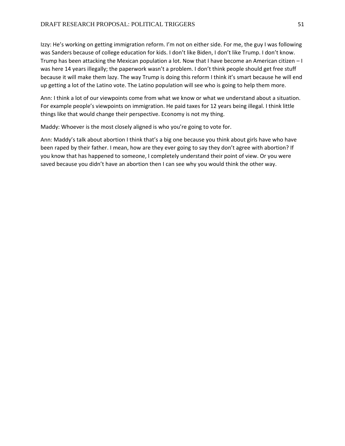Izzy: He's working on getting immigration reform. I'm not on either side. For me, the guy I was following was Sanders because of college education for kids. I don't like Biden, I don't like Trump. I don't know. Trump has been attacking the Mexican population a lot. Now that I have become an American citizen – I was here 14 years illegally; the paperwork wasn't a problem. I don't think people should get free stuff because it will make them lazy. The way Trump is doing this reform I think it's smart because he will end up getting a lot of the Latino vote. The Latino population will see who is going to help them more.

Ann: I think a lot of our viewpoints come from what we know or what we understand about a situation. For example people's viewpoints on immigration. He paid taxes for 12 years being illegal. I think little things like that would change their perspective. Economy is not my thing.

Maddy: Whoever is the most closely aligned is who you're going to vote for.

Ann: Maddy's talk about abortion I think that's a big one because you think about girls have who have been raped by their father. I mean, how are they ever going to say they don't agree with abortion? If you know that has happened to someone, I completely understand their point of view. Or you were saved because you didn't have an abortion then I can see why you would think the other way.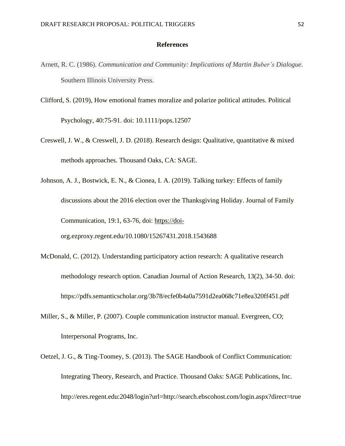#### **References**

- Arnett, R. C. (1986). *Communication and Community: Implications of Martin Buber's Dialogue*. Southern Illinois University Press.
- Clifford, S. (2019), How emotional frames moralize and polarize political attitudes. Political Psychology, 40:75-91. doi: 10.1111/pops.12507
- Creswell, J. W., & Creswell, J. D. (2018). Research design: Qualitative, quantitative & mixed methods approaches. Thousand Oaks, CA: SAGE.
- Johnson, A. J., Bostwick, E. N., & Cionea, I. A. (2019). Talking turkey: Effects of family discussions about the 2016 election over the Thanksgiving Holiday. Journal of Family Communication, 19:1, 63-76, doi: [https://doi](https://doi-/)org.ezproxy.regent.edu/10.1080/15267431.2018.1543688
- McDonald, C. (2012). Understanding participatory action research: A qualitative research methodology research option. Canadian Journal of Action Research, 13(2), 34-50. doi: https://pdfs.semanticscholar.org/3b78/ecfe0b4a0a7591d2ea068c71e8ea320ff451.pdf
- Miller, S., & Miller, P. (2007). Couple communication instructor manual. Evergreen, CO; Interpersonal Programs, Inc.
- Oetzel, J. G., & Ting-Toomey, S. (2013). The SAGE Handbook of Conflict Communication: Integrating Theory, Research, and Practice. Thousand Oaks: SAGE Publications, Inc. http://eres.regent.edu:2048/login?url=http://search.ebscohost.com/login.aspx?direct=true